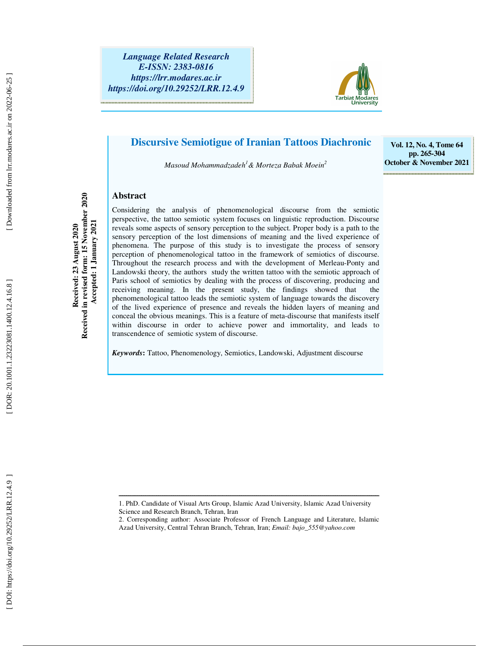*Language Related Research E-ISSN: 2383-0816 https://lrr.modares.ac.ir https://doi.org/10.29252/LRR.12.4.9* 



# **Discursive Semiotigue of Iranian Tattoos Diachronic**

*Masoud Mohammadzadeh <sup>1</sup>& Morteza Babak Moein 2*

**Vol. 12, No. 4, Tome 64 pp. 265-304 October & November 2021**

### **Abstract**

**Received: 23 August 2020 Received in revised form: 15 November 2020** 

Received: 23 August 2020<br>Received in revised form: 15 November 2020

Considering the analysis of phenomenological discourse from the semiotic perspective, the tattoo semiotic system focuses on linguistic reproduction. Discourse  **Accepted: 1 January 2021**  Accepted: 1 January 2021 reveals some aspects of sensory perception to the subject. Proper body is a path to the sensory perception of the lost dimensions of meaning and the lived experience of phenomena. The purpose of this study is to investigate the process of sensory perception of phenomenological tattoo in the framework of semiotics of discourse. Throughout the research process and with the development of Merleau-Ponty and Landowski theory, the authors study the written tattoo with the semiotic approach of Paris school of semiotics by dealing with the process of discovering, producing and receiving meaning. In the present study, the findings showed that the phenomenological tattoo leads the semiotic system of language towards the discovery of the lived experience of presence and reveals the hidden layers of meaning and conceal the obvious meanings. This is a feature of meta-discourse that manifests itself within discourse in order to achieve power and immortality, and leads to transcendence of semiotic system of discourse.

*Keywords***:** Tattoo, Phenomenology, Semiotics, Landowski, Adjustment discourse

ــــــــــــــــــــــــــــــــــــــــــــــــــــــــــــــــــــــــــــــــــــــــــــــــــــــــــــــــــــــــــــــــــــــــــ

<sup>1.</sup> PhD. Candidate of Visual Arts Group, Islamic Azad University, Islamic Azad University Science and Research Branch, Tehran, Iran

<sup>2.</sup> Corresponding author: Associate Professor of French Language and Literature, Islamic Azad University, Central Tehran Branch, Tehran, Iran; *Email: bajo\_555@yahoo.com*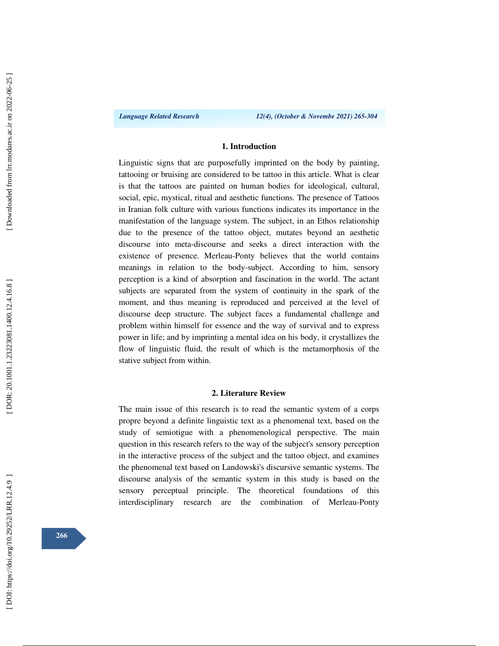*Language Related Research 12(4), (October & Novembe 2021) 265-304* 

### **1. Introduction**

Linguistic signs that are purposefully imprinted on the body by painting, tattooing or bruising are considered to be tattoo in this article. What is clear is that the tattoos are painted on human bodies for ideological, cultural, social, epic, mystical, ritual and aesthetic functions. The presence of Tattoos in Iranian folk culture with various functions indicates its importance in the manifestation of the language system. The subject, in an Ethos relationship due to the presence of the tattoo object, mutates beyond an aesthetic discourse into meta-discourse and seeks a direct interaction with the existence of presence. Merleau-Ponty believes that the world contains meanings in relation to the body-subject. According to him, sensory perception is a kind of absorption and fascination in the world. The actant subjects are separated from the system of continuity in the spark of the moment, and thus meaning is reproduced and perceived at the level of discourse deep structure. The subject faces a fundamental challenge and problem within himself for essence and the way of survival and to express power in life; and by imprinting a mental idea on his body, it crystallizes the flow of linguistic fluid, the result of which is the metamorphosis of the stative subject from within.

### **2. Literature Review**

The main issue of this research is to read the semantic system of a corps propre beyond a definite linguistic text as a phenomenal text, based on the study of semiotigue with a phenomenological perspective. The main question in this research refers to the way of the subject's sensory perception in the interactive process of the subject and the tattoo object, and examines the phenomenal text based on Landowski's discursive semantic systems. The discourse analysis of the semantic system in this study is based on the sensory perceptual principle. The theoretical foundations of this interdisciplinary research are the combination of Merleau-Ponty

**266**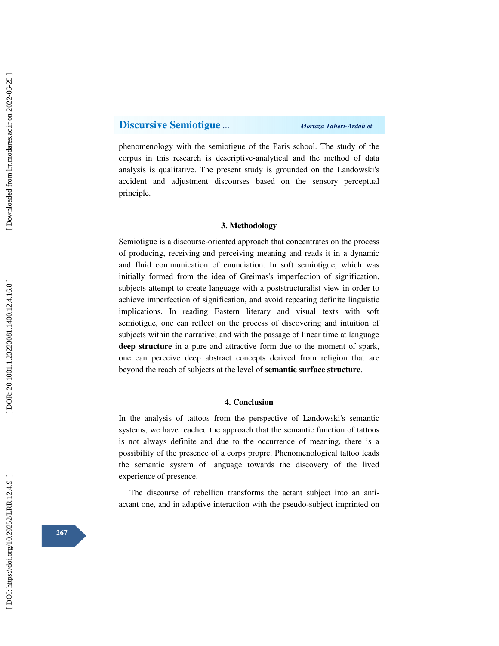### **Discursive Semiotigue** *… Mortaza Taheri-Ardali et*

phenomenology with the semiotigue of the Paris school. The study of the corpus in this research is descriptive-analytical and the method of data analysis is qualitative. The present study is grounded on the Landowski's accident and adjustment discourses based on the sensory perceptual principle.

### **3. Methodology**

Semiotigue is a discourse-oriented approach that concentrates on the process of producing, receiving and perceiving meaning and reads it in a dynamic and fluid communication of enunciation. In soft semiotigue, which was initially formed from the idea of Greimas's imperfection of signification, subjects attempt to create language with a poststructuralist view in order to achieve imperfection of signification, and avoid repeating definite linguistic implications. In reading Eastern literary and visual texts with soft semiotigue, one can reflect on the process of discovering and intuition of subjects within the narrative; and with the passage of linear time at language **deep structure** in a pure and attractive form due to the moment of spark, one can perceive deep abstract concepts derived from religion that are beyond the reach of subjects at the level of **semantic surface structure**.

### **4. Conclusion**

In the analysis of tattoos from the perspective of Landowski's semantic systems, we have reached the approach that the semantic function of tattoos is not always definite and due to the occurrence of meaning, there is a possibility of the presence of a corps propre. Phenomenological tattoo leads the semantic system of language towards the discovery of the lived experience of presence.

The discourse of rebellion transforms the actant subject into an antiactant one, and in adaptive interaction with the pseudo-subject imprinted on

**267**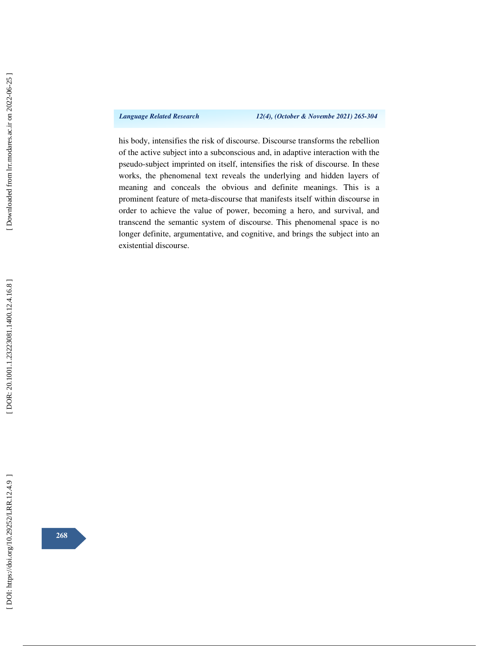*Language Related Research 12(4), (October & Novembe 2021) 265-304* 

his body, intensifies the risk of discourse. Discourse transforms the rebellion of the active subject into a subconscious and, in adaptive interaction with the pseudo-subject imprinted on itself, intensifies the risk of discourse. In these works, the phenomenal text reveals the underlying and hidden layers of meaning and conceals the obvious and definite meanings. This is a prominent feature of meta-discourse that manifests itself within discourse in order to achieve the value of power, becoming a hero, and survival, and transcend the semantic system of discourse. This phenomenal space is no longer definite, argumentative, and cognitive, and brings the subject into an existential discourse.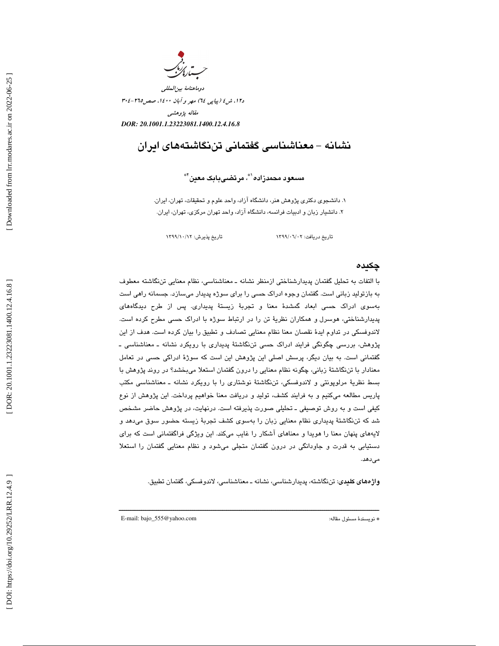دوماهنامة بينالمللي د،12 ش 4 (پياپي 64) مهر و آبان ،1400 صص304-265 مقاله پژوهشي *DOR: 20.1001.1.23223081.1400.12.4.16.8*

# نشانه - معناشناسي گفتماني تننگاشتههاي ايران

مسعود محمدزاده`\*، مرتضىبابک معين`\*

 1. دانشجوي دكتري پژ وهش ،هنر دانشگاه آزاد ، واحد علوم و تحقيقات، تهران، ايران. 2. دانشيار زبان و ادبيات فرانسه ، دانشگاه آزاد ، واحد تهران مركزي ، تهران ، ايران.

تاريخ دريافت: 02/ 06/ 1399 تاريخ پذيرش: 12/ 10/ 1399

### چكيده

با التفات به تحليل گفتمان پديدارشناختي ازمنظر نشانه ـ معناشناسي، نظام معنايي تننگاشته معطوف به بازتوليد زباني است. گفتمان وجوه ادراك حسي را براي سوژه پديدار ميسازد. جسمانه راهي است بهسوي ادراك حسي ابعاد گمشدة معنا و تجربة زيستة پديداري. پس از طرح ديدگاههاي پديدارشناختي، هوسرل و همكاران نظرية تن را در ارتباط سوژه با ادراك حسي مطرح كرده است. لاندوفسكي در تداوم ايدة نقصان معنا نظام معنايي تصادف و تطبيق را بيان كرده است. هدف از اين پژوهش، بررسي چگونگي فرايند ادراك حسي تننگاشتة پديداري با رويكرد نشانه ـ معناشناسي ـ گفتماني است. به بيان ديگر، پرسش اصلي اين پژوهش اين است كه سوژة ادراكي حسي در تعامل معنادار با تننگاشتة زباني، چگونه نظام معنايي را درون گفتمان استعلا ميبخشد؟ در روند پژوهش با بسط نظرية مرلوپونتي و لاندوفسكي، تننگاشتة نوشتاري را با رويكرد نشانه ـ معناشناسي مكتب پاريس مطالعه ميكنيم و به فرايند كشف، توليد و دريافت معنا خواهيم پرداخت. اين پژوهش از نوع كيفي است و به روش توصيفي ـ تحليلي صورت پذيرفته است. درنهايت، در پژوهش حاضر مشخص شد كه تننگاشتة پديداري نظام معنايي زبان را بهسوي كشف تجربة زيسته حضور سوق ميدهد و لايههاي پنهان معنا را هويدا و معناهاي آشكار را غايب ميكند. اين ويژگي فراگفتماني است كه براي دستيابي به قدرت و جاودانگي در درون گفتمان متجلي ميشود و نظام معنايي گفتمان را استعلا ميدهد.

واژههاي كليدي: تننگاشته، پديدارشناسي، نشانه ـ معناشناسي، لاندوفسكي، گفتمان تطبيق.

ــــــــــــــــــــــــــــــــــــــــــــــــــــــــــــــــــــــــــــــــــــــــــــــــــــــــــــــــــــــــــــــــــــــــــ

E-mail: bajo\_555@yahoo.com :مقاله مسئول نويسندة\*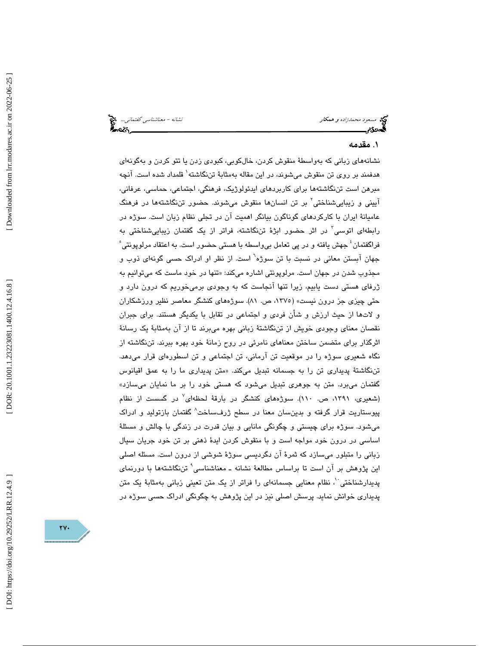مسعود محمدزاده و همكار نشانه - معناشناسي گفتماني...

### 1. مقدمه

نشانههاي زباني كه بهواسطة منقوش كردن، خالكوبي، كبودي زدن يا تتو كردن و بهگونهاي هدفمند بر روی تن منقوش میشوند، در این مقاله بهمثابهٔ تننگاشته $\langle$  قلمداد شده است. آنچه مبرهن است تننگاشتهها براي كاربردهاي ايدئولوژيك، فرهنگي، اجتماعي، حماسي، عرفاني، آييني و زيباييشناختي<sup>٬</sup> بر تن انسانها منقوش ميشوند. حضور تننگاشتهها در فرهنگ عاميانة ايران با كاركردهاي گوناگون بيانگر اهميت آن در تجلي نظام زبان است. سوژه در رابطهای اتوسی<sup>۳</sup> در اثر حضور ابژهٔ تننگاشته، فراتر از یک گفتمان زیباییشناختی به فراگفتمان ٔ جهش یافته و در پی تعامل بی $\epsilon$ اسطه با هستی حضور است. به اعتقاد مرلوپونتی ْ جهان آبستن معانی در نسبت با تن سوژه<sup>٦</sup> است. از نظر او ادراک حسی گونهای ذوب و مجذوب شدن در جهان است. مرلوپونتی اشاره میکند: «تنها در خود ماست که میتوانیم به ژرفاي هستي دست يابيم، زيرا تنها آنجاست كه به وجودي برميخوريم كه درون دارد و حتي چيزي جز درون نيست» (،1375 ص. 81). سوژههاي كنشگر معاصر نظير ورزشكاران و لاتها از حيث ارزش و شأن فردي و اجتماعي در تقابل با يكديگر هستند. براي جبران نقصان معناي وجودي خويش از تننگاشتهٔ زباني بهره ميبرند تا از آن بهمثابهٔ يک رسانهٔ اثرگذار براي متضمن ساختن معناهاي نامرئي در روح زمانة خود بهره ببرند. تننگاشته از نگاه شعيري سوژه را در موقعيت تن آرماني، تن اجتماعي و تن اسطورهاي قرار ميدهد. تننگاشتهٔ پدیداری تن را به جسمانه تبدیل میکند. «متن پدیداری ما را به عمق اقیانوس گفتمان ميبرد. متن به جوهري تبديل ميشود كه هستي خود را بر ما نمايان ميسازد» (شعیری، ۱۳۹۱، ص. ۱۱۰). سوژههای کنشگر در بارقهٔ لحظهای<sup>٬</sup> در گسست از نظام پيوستاريت قرار گرفته و بدينسان معنا در سطح ژرفساخت 8 گفتمان بازتوليد و ادراك ميشود. سوژه براي چيستي و چگونگي مانايي و بيان قدرت در زندگي با چالش و مسئلة اساسي در درون خود مواجه است و با منقوش كردن ايدة ذهني بر تن خود جريان سيال زباني را متبلور ميسازد كه ثمرة آن دگرديسي سوژة شوشي از درون است. مسئله اصلي اين پژوهش بر آن است تا براساس مطالعة نشانه ـ معناشناسي 9 تننگاشتهها با دورنماي پدیدارشناختی `، نظام معنایی جسمانهای را فراتر از یک متن تعینی زبانی بهمثابهٔ یک متن پديداري خوانش نمايد. پرسش اصلي نيز در اين پژوهش به چگونگي ادراك حسي سوژه در

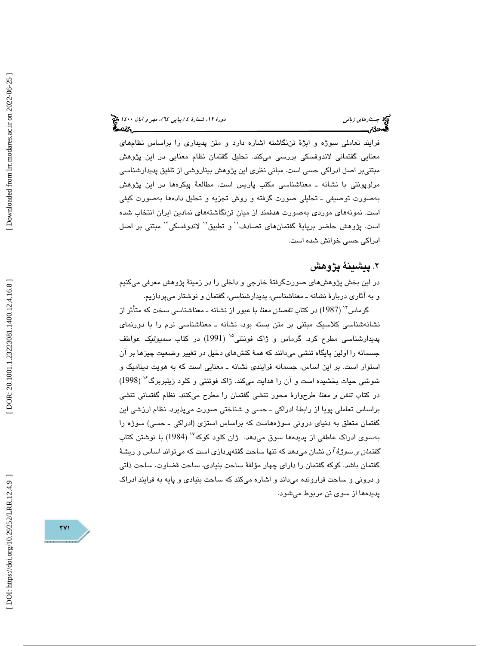فرايند تعاملي سوژه و ابژة تننگاشته اشاره دارد و متن پديداري را براساس نظامهاي معنايي گفتماني لاندوفسكي بررسي ميكند. تحليل گفتمان نظام معنايي در اين پژوهش مبتنيبر اصل ادراكي حسي است. مباني نظري اين پژوهش بيناروشي از تلفيق پديدارشناسي مرلوپونتي با نشانه ـ معناشناسي مكتب پاريس است. مطالعة پيكرهها در اين پژوهش بهصورت توصيفي ـ تحليلي صورت گرفته و روش تجزيه و تحليل دادهها بهصورت كيفي است. نمونههاي موردي بهصورت هدفمند از ميان تننگاشتههاي نمادين ايران انتخاب شده است. پژوهش حاضر برپايهٔ گفتمانهای تصادف'<sup>י</sup> و تطبيق<sup>۱٬</sup> لاندوفسكي<sup>۱٬</sup> مبتنی بر اصل ادراكي حسي خوانش شده است.

# . پيشينة پژوهش 2

در اين بخش پژوهشهاي صورتگرفتة خارجي و داخلي را در زمينة پژوهش معرفي ميكنيم و به آثاري دربارة نشانه ـ معناشناسي، پديدارشناسي، گفتمان و نوشتار ميپردازيم.

گرماس<sup>۱۴</sup> (1987) در كتاب *نقصان معنا* با عبور از نشانه ـ معناشناس*ی* سخت كه متأثر از نشانهشناسي كلاسيك مبتني بر متن بسته بود، نشانه ـ معناشناسي نرم را با دورنماي پديدارشناسي مطرح كرد. گرماس و ژاك فونتني<sup>۱۵</sup> (1991) در كتاب *سميو*تي*ک* عواطف جسمانه را اولين پايگاه تنشي ميدانند كه همة كنشهاي دخيل در تغيير وضعيت چيزها بر آن استوار است. بر اين اساس، جسمانه فرايندي نشانه ـ معنايي است كه به هويت ديناميك و ( 1998) شوشي حيات بخشيده است و آن را هدايت ميكند. ژاك فوتنتي و كلود زيلبربرگ در كتاب تنش و معنا طرحوارة محور تنشي گفتمان را مطرح ميكنند. نظام گفتماني تنشي براساس تعاملي پويا از رابطة ادراكي ـ حسي و شناختي صورت ميپذيرد. نظام ارزشي اين گفتمان متعلق به دنياي دروني سوژههاست كه براساس استزي (ادراكي ـ حسي) سوژه را بهسوي ادراك عاطفي از پديدهها سوق ميدهد. ژان كلود كوكه ( 1984) با نوشتن كتاب گف*تمان و سوژهٔ آن* نشان میدهد كه تنها ساحت گفتهپردازی است كه میتواند اساس و ریشهٔ گفتمان باشد. كوكه گفتمان را داراي چهار مؤلفة ساحت بنيادي، ساحت قضاوت، ساحت ذاتي و دروني و ساحت فرارونده ميداند و اشاره ميكند كه ساحت بنيادي و پايه به فرايند ادراك پديدهها از سوي تن مربوط ميشود.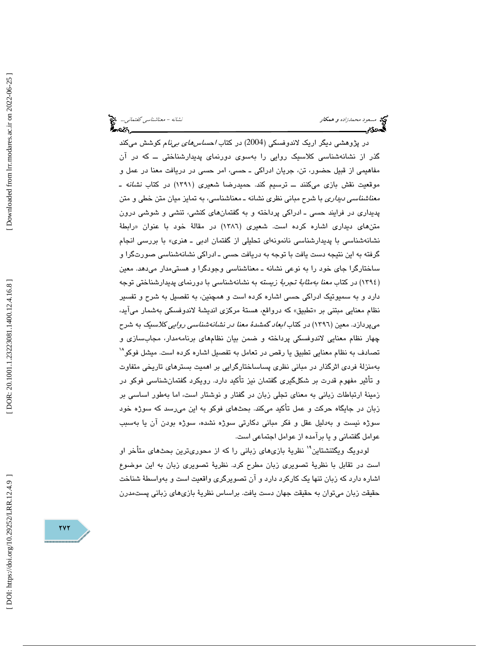مسعود محم*دزاده و همكار نشانه - معناشناسي گفتماني...*. مخ<mark>ت</mark><br>مسعود محم*دزاده و همكار*<br>مسجد گفت براي گفت براي گفت براي گفت براي گفت براي گفت براي گفت براي گفت براي گفت براي گفت براي گفت براي گفت براي

در پژوهشی دیگر اریک لاندوفسکی (2004) در کتاب *احساسهای بیiنا*م کوشش میکند گذر از نشانهشناسي كلاسيك روايي را بهسوي دورنماي پديدارشناختي ــ كه در آن مفاهيمي از قبيل حضور، تن، جريان ادراكي ـ حسي، امر حسي در دريافت معنا در عمل و موقعيت نقش بازي ميكنند ـــ ترسيم كند. حميدرضا شعيري (١٣٩١) در كتاب *نشانه ـ معناشناسي ديداري* با شرح مباني نظري نشانه ـ معناشناسي، به تمايز ميان متن خطي و متن پديداري در فرايند حسي ـ ادراكي پرداخته و به گفتمانهاي كنشي، تنشي و شوشي درون متن *های* دیداری اشاره کرده است. شعیری (۱۳۸٦) در مقالهٔ خود با عنوان «رابطهٔ نشانهشناسی با پدیدارشناسی نانمونهای تحلیلی از گفتمان ادبی ـ هنری» با بررسی انجام گرفته به اين نتيجه دست يافت با توجه به دريافت حسي ـ ادراكي نشانهشناسي صورتگرا و ساختارگرا جاي خود را به نوعي نشانه ـ معناشناسي وجودگرا و هستيمدار ميدهد. معين (١٣٩٤) در كتاب *معنا بەمثابهٔ ت*ج*ربهٔ زیسته* به نشانەشناسی با دورنمای پدیدارشناختی توجه دارد و به سميوتيك ادراكي حسي اشاره كرده است و همچنين ، به تفصيل به شرح و تفسير نظام معنايي مبتني بر «تطبيق» كه درواقع، هستهٔ مركزي انديشهٔ لاندوفسكي بهشمار مي[يد، ميپردازد. معين (١٣٩٦) در كتاب *ابعاد گمشدهٔ معنا در نشانهشناسي روايي كلاسي*ك به شرح چهار نظام معنايي لاندوفسكي پرداخته و ضمن بيان نظامهاي برنامهمدار، مجابسازي و تصادف به نظام معنايي تطبيق يا رقص در تعامل به تفصيل اشاره كرده است. ميشل فوكو بهمنزلة فردي اثرگذار در مباني نظري پساساختارگرايي بر اهميت بسترهاي تاريخي متفاوت و تأثير مفهوم قدرت بر شكلگيري گفتمان نيز تأكيد دارد . رويكرد گفتمانشناسي فوكو در زمينة ارتباطات زباني به معناي تجلي زبان در گفتار و نوشتار است ، اما بهطور اساسي بر زبان در جايگاه حركت و عمل تأكيد ميكند. بحثهاي فوكو به اين ميرسد كه سوژه خود سوژه نيست و بهدليل عقل و فكر مباني دكارتي سوژه نشده، سوژه بودن آن يا بهسبب عوامل گفتماني و يا برآمده از عوامل اجتماعي است.

لودويگ ويگتنشتاين'' نظريهٔ بازيهاي زباني را كه از محوريترين بحثهاي متأخر او است در تقابل با نظرية تصويري زبان مطرح كرد. نظرية تصويري زبان به اين موضوع اشاره دارد كه زبان تنها يك كاركرد دارد و آن تصويرگري واقعيت است و بهواسطة شناخت حقيقت زبان ميتوان به حقيقت جهان دست يافت. براساس نظرية بازيهاي زباني پستمدرن

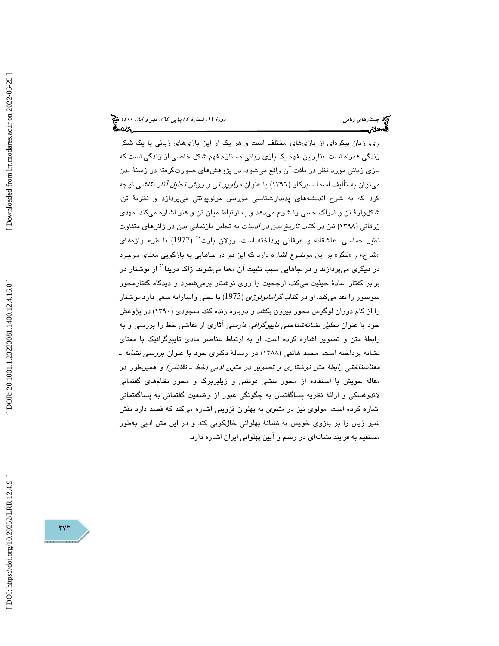(پياپي 64)، مهر و آبان 1400 جستارهاي زباني دورة ،12 شمارة 4

وي، زبان پيكرهاي از بازيهاي مختلف است و هر يك از اين بازيهاي زباني با يك شكل زندگي همراه است. بنابراين، فهم يك بازي زباني مستلزم فهم شكل خاصي از زندگي است كه بازي زباني مورد نظر در بافت آن واقع ميشود. در پژوهشهاي صورتگرفته در زمينة بدن ميتوان به تأليف اسما سبزكار (١٣٩٦) با عنوان *مرلوپونتي و روش تحليل آثار نقاشي* توجه كرد كه به شرح انديشههاي پديدارشناسي موريس مرلوپونتي ميپردازد و نظرية تن، شكلوارة تن و ادراك حسي را شرح ميدهد و به ارتباط ميان تن و هنر اشاره ميكند. مهدي زرقاني (1398) نيز در كتاب تاريخ بدن در ادبيات به تحليل بازنمايي بدن در ژانرهاي متفاوت نظير حماسي، عاشقانه و عرفاني پرداخته است. رولان بارت<sup>.</sup>٬ (1977) با طرح واژههای «شرح» و «لنگر» بر اين موضوع اشاره دارد كه اين دو در جاهايي به بازگويي معناي موجود در ديگري ميپردازند و در جاهايي سبب تثبيت آن معنا ميشوند. ژاک دريدا<sup>۲۱</sup> از نوشتار در برابر گفتار اعادة حيثيت ميكند، ارجحيت را روي نوشتار برميشمرد و ديدگاه گفتارمحور سوسور را نقد ميكند. او در كتاب گراماتولوژي ( 1973) با لحني واسازانه سعي دارد نوشتار را از كام دوران لوگوس محور بيرون بكشد و دوباره زنده كند. سجودی (۱۳۹۰) در پژوهش خود با عنوان تحليل نشانهشناختي تايپوگرافي فارسي آثاري از نقاشي خط را بررسي و به رابطة متن و تصوير اشاره كرده است. او به ارتباط عناصر مادي تايپوگرافيك با معناي نشانه پرداخته است. محمد هاتفی (۱۳۸۸) در رسالهٔ دکتری خود با عنوان *بررسی نشانه ـ* معناشناختي رابطة متن نوشتاري و تصوير در متون ادبي (خط ـ نقاشي) و همينطور در مقالة خويش با استفاده از محور تنشي فونتني و زيلبربرگ و محور نظامهاي گفتماني لاندوفسكي و ارائة نظرية پساگفتمان به چگونگي عبور از وضعيت گفتماني به پساگفتماني اشاره كرده است. مولوي نيز در مثنوي به پهلوان قزويني اشاره ميكند كه قصد دارد نقش شير ژيان را بر بازوي خويش به نشانة پهلواني خالكوبي كند و در اين متن ادبي بهطور مستقيم به فرايند نشانهاي در رسم و آيين پهلواني ايران اشاره دارد.

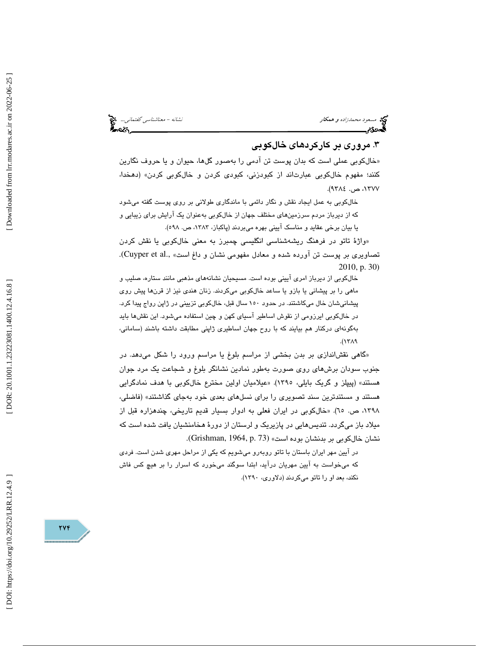مسعود محم*دزاده و همكار نشانه - معناشناسي گفتماني...*. مخ<mark>خ</mark><br>ال**مصري الله عن الله عن الله عن الله عن الله عن الله عن الله عن الله عن الله عن الله عن الله عن الله عن الله عن**<br>ا**لله عن** الله عن الله عن الله عن الله عن الله

# . مروري بر كاركردهاي خالكوبي 3

 خالكوبي عملي است كه بدان پوست تن آدمي را بهصور گلها، حيوان و يا حروف نگارين » كنند؛ مفهوم خال كوبي عبارت اند از كبودزني، كبودي كردن و خال كوبي كردن» (دهخدا، ،1377 ص. 9384 ).

 خالكوبي به عمل ايجاد نقش و نگار دائمي با ماندگاري طولاني بر روي پوست گفته ميشود كه از ديرباز مردم سرزمينهاي مختلف جهان از خالكوبي بهعنوان يك آرايش براي زيبايي و يا بيان برخي عقايد و مناسك آييني بهره ميبردند (پاكباز، ،1383 ص. 598 ).

«واژهٔ تاتو در فرهنگ ریشەشناسی انگلیسی چمبرز به معنی خالکوبی یا نقش کردن .(Cuyper et al., تصاويري بر پوست تن آورده شده و معادل مفهومي نشان و داغ است» 2010, p. 30)

خالكوبي از ديرباز امري آييني بوده است. مسيحيان نشانههاي مذهبي مانند ستاره، صليب و ماهی را بر پیشانی یا بازو یا ساعد خالکوبی میکردند. زنان هندی نیز از قرنها پیش روی پيشانيشان خال ميكاشتند. در حدود ۱۵۰ سال قبل، خالكوبي تزييني در ژاپن رواج پيدا كرد. در خالكوبي ايرزومي از نقوش اساطير آسياي كهن و چين استفاده ميشود. اين نقشها بايد هب گونهاي دركنار هم بيايند كه با روح جهان اساطيري ژاپني مطابقت داشته باشند (ساماني،  $.(\text{17A})$ 

گاهي نقشاندازي بر بدن بخشي از مراسم بلوغ يا مراسم ورود را شكل ميدهد. در » جنوب سودان برشهاي روي صورت به طور نمادين نشانگر بلوغ و شجاعت يك مرد جوان هستند» (پيپلز و گريك بايلي، 1395). «عيلاميان اولين مخترع خالكوبي با هدف نمادگرايي هستند و مستندترين سند تصويري را براي نسلهاي بعدي خود بهجاي گذاشتند» (فاضلي، ،1398 ص. 65). « خالكوبي در ايران فعلي به ادوار بسيار قديم تاريخي، چندهزاره قبل از ميلاد باز ميگردد. تنديسهايي در پازيريك و لرستان از دورة هخامنشيان يافت شده است كه نشان خالكوبي بر بدنشان بوده است» (Grishman, 1964, p. 73).

در آيين مهر ايران باستان با تاتو روبهر و ميشويم كه يكي از مراحل مهري شدن است. فردي كه ميخواست به آيين مهريان درآيد، ابتدا سوگند ميخورد كه اسرار را بر هيچ كس فاش نكند، بعد او را تاتو ميكردند (دلاوري، 1390 ).

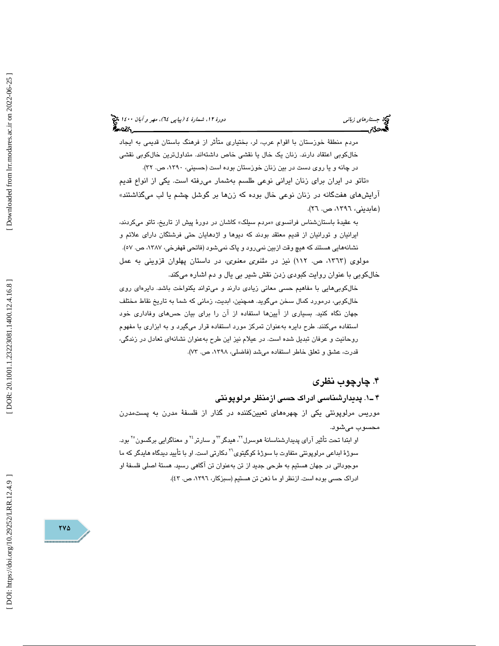(پياپي 64)، مهر و آبان 1400 جستارهاي زباني دورة ،12 شمارة 4

مردم منطقة خوزستان با اقوام عرب، لر، بختياري متأثر از فرهنگ باستان قديمي به ايجاد خالكوبي اعتقاد دارند. زنان يك خال يا نقشي خاص داشتهاند. متداولترين خالكوبي نقشي

در چانه و يا روی دست در بين زنان خوزستان بوده است (حسيني، ١٣٩٠، ص. ٣٢). تاتو در ايران براي زنان ايراني نوعي طلسم بهشمار ميرفته است. يكي از انواع قديم » آرايشهاي هفتگانه در زنان نوعي خال بوده كه زنها بر گوشل چشم يا لب ميگذاشتند» (عابديني، ١٣٩٦، ص. ٢٦).

به عقیدهٔ باستانشناس فرانسوی «مردم سیلک» کاشان در دورهٔ پیش از تاریخ، تاتو میکردند، ايرانيان و تورانيان از قديم معتقد بودند كه ديوها و اژدهايان حتي فرشتگان داراي علائم و نشانههايي هستند كه هيچ وقت ازبين نميرورد و پاك نميشود (فاتحي قهفرخي، ١٣٨٧، ص. ٥٧). مولوي (،1363 ص. 112) نيز در مثنوي معنوي، در داستان پهلوان قزويني به عمل خالكوبي با عنوان روايت كبودي زدن نقش شير بي يال و دم اشاره ميكند.

 خالكوبيهايي با مفاهيم حسي معاني زيادي دارند و ميتواند يكنواخت باشد. دايرهاي روي خالكوبي، درمورد كمال سخن ميگويد. همچنين، ابديت، زماني كه شما به تاريخ نقاط مختلف جهان نگاه كنيد. بسياري از آيينها استفاده از آن را براي بيان حسهاي وفاداري خود استفاده ميكنند. طرح دايره بهعنوان تمركز مورد استفاده قرار ميگيرد و به ابزاري با مفهوم روحانيت و عرفان تبديل شده است. در عيلام نيز اين طرح بهعنوان نشانهاي تعادل در زندگي، قدرت، عشق و تعلق خاطر استفاده مي شد (فاضلي، ١٣٩٨، ص. ٧٣).

# . چارچوب نظري 4

1ـ 4 . پديدارشناسي ادراك حسي ازمنظر مرلوپونتي موريس مرلوپونتي يكي از چهرههاي تعيينكننده در گذار از فلسفة مدرن به پستمدرن محسوب ميشود.

او ابتدا تحت تأثير آراي پديدارشناسانهٔ هوسرل<sup>۲۲</sup>، هيدگر<sup>۲۲</sup>و سارتر<sup>۲۶</sup>و معناگرايي برگسون<sup>۲۰</sup> بود. سوژهٔ ابداعی مرلوپونتی متفاوت با سوژهٔ کوگیتوی<sup>۲</sup>۰ دکارتی است. او با تأیید دیدگاه هایدگر که ما موجوداتي در جهان هستيم به طرحي جديد از تن بهعنوان تن آگاهي رسيد. هستة اصلي فلسفة او ادراك حسي بوده است. ازنظر او ما ذهن تن هستيم (سبزكار، ١٣٩٦، ص. ٤٣).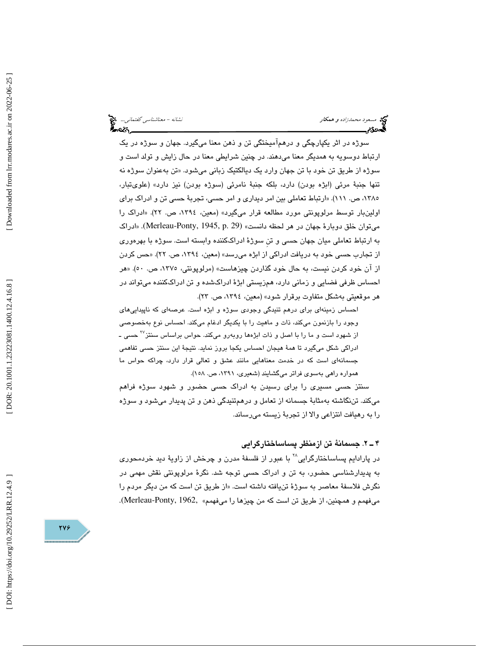مسعود محمدزاده و همكار نشانه - معناشناسي گفتماني... من كار مسعود محمدزاده و همكار نشانه - معناشناسي گفتماني...<br>گفت در مسعود است.

سوژه در اثر يكپارچگي و در همآميختگي تن و ذهن معنا ميگيرد. جهان و سوژه در يك ارتباط د وسويه به همديگر معنا ميدهند. در چنين شرايطي معنا در حال زايش و تولد است و سوژه از طريق تن خود با تن جهان وارد يک ديالکتيک زبانی میشود. «تن بهعنوان سوژه نه تنها جنبة مرئي (ابژه بودن) دارد، بلكه جنبة نامرئي (سوژه بودن) نيز دارد» (علويتبار، ۱۳۸۰، ص. ۱۱۱). «ارتباط تعاملي بين امر ديداری و امر حسی، تجربهٔ حسی تن و ادراک برای اولينبار توسط مرلوپونتي مورد مطالعه قرار ميگيرد» (معين، ،1394 ص. 22). «ادراك را ميتوان خلق دوبارهٔ جهان در هر لحظه دانست» (29 .Merleau-Ponty, 1945, p. 29). «ادراک به ارتباط تعاملي ميان جهان حسي و تنِ سوژة ادراككننده وابسته است. سوژه با بهرهوري از تجارب حسي خود به دريافت ادراكي از ابژه ميرسد» (معين، ،1394 ص. 22). «حس كردن از آن خود كردن نيست، به حال خود گذاردن چيزهاست» (مرلوپونتي، ،1375 ص. 50). «هر احساس ظرفي فضايي و زماني دارد، همزيستي ابژة ادراكشده و تن ادراككننده ميتواند در هر موقعيتي بهشكل متفاوت برقرار شود» (معين، ،1394 ص. )23.

احساس زمينهاي براي درهم تنيدگي وجودي سوژه و ابژه است. عرصهاي كه ناپيداييهاي وجود را بازنمون ميكند، ذات و ماهيت را با يكديگر ادغام ميكند. احساس نوع بهخصوصي از شهود است و ما را با اصل و ذات ابژهها روبهرو میکند. حواس براساس سنتز<sup>۲۷</sup> حسی ـ ادراكي شكل ميگيرد تا همة هيجان احساس يكجا بروز نمايد. نتيجة اين سنتز حسي تفاهمي جسمانهاي است كه در خدمت معناهايي مانند عشق و تعالي قرار دارد، چراكه حواس ما همواره راهي بهسوي فراتر ميگشايند (شعيري، ،1391 ص. 158 ).

سنتز حسي مسيري را براي رسيدن به ادراك حسي حضور و شهود سوژه فراهم ميكند. تننگاشته بهمثابة جسمانه از تعامل و در همتنيدگي ذهن و تن پديدار ميشود و سوژه را به رهيافت انتزاعي والا از تجربة زيسته ميرساند.

### 2ـ 4 . جسمانة تن ازمنظر پساساختارگرايي

در پارادايم پساساختارگرايي<sup>۲۸</sup> با عبور از فلسفهٔ مدرن و چرخش از زاويهٔ ديد خردمحور*ی* به پديدارشناسي حضور، به تن و ادراك حسي توجه شد. نگرة مرلوپونتي نقش مهمي در نگرش فلاسفهٔ معاصر به سوژهٔ تنیافته داشته است. «از طریق تن است که من دیگر مردم را ميفهمم و همچنين، از طريق تن است كه من چيزها را ميفهمم» ,Merleau-Ponty, 1962).

DOI: https://doi.org/10.29252/LRR.12.4.9

748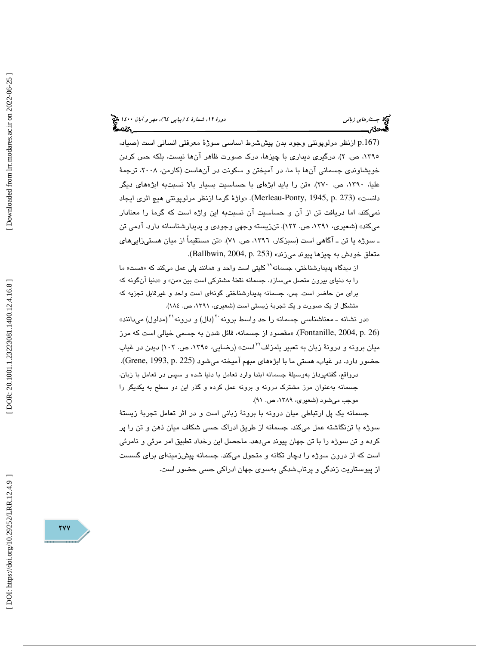(.167p از نظر مرلوپونتي وجود بدن پيششرط اساسي سوژة معرفتي انساني است (صياد، ۱۳۹۰، ص. ۲). درگیری دیداری با چیزها، درک صورت ظاهر انها نیست، بلکه حس کردن خويشاوندي جسماني آنها با ما، در آميختن و سكونت در آنهاست (كارمن، ،2008 ترجمة عليا، ،1390 ص. 270). «تن را بايد ابژهاي با حساسيت بسيار بالا نسبتبه ابژههاي ديگر دانست» (273 .p 1945, ,Ponty-Merleau(. » واژة گرما ازنظر مرلوپونتي هيچ اثري ايجاد نميكند، اما دريافت تن از آن و حساسيت آن نسبتبه اين واژه است كه گرما را معنادار ميكند» (شعيري، ،1391 ص. 122). تنزيسته وجهي وجودي و پديدارشناسانه دارد. آدمي تن ـ سوژه يا تن ـ آگاهي است (سبزكار، ،1396 ص. 71). «تن مستقيماً از ميان هستيزاييهاي متعلق خودش به چيزها پيوند ميزند» (Ballbwin, 2004, p. 253).

از ديدگاه پديدارشناختي، جسمانه<sup>۲۹</sup> كليتي است واحد و همانند پلي عمل ميكند كه «هست» ما را به دنياي بيرون متصل ميسازد. جسمانه نقطهٔ مشتركي است بين «من» و «دنيا انگونه كه براي من حاضر است. پس، جسمانه پديدارشناختي گونهاي است واحد و غيرقابل تجزيه كه متشكل از يك صورت و يك تجربة زيستي است (شعيري، ،1391 ص. 184 ).

«در نشانه ــ معناشناسی جسمانه را حد واسط برونه آ(دال) و درونه'آ(مدلول) میدانند» (26 .p 2004, ,Fontanille(.» مقصود از جسمانه، قائل شدن به جسمي خيالي است كه مرز میان برونه و درونهٔ زبان به تعبیر یلمزلف<sup>۲۲</sup>است» (رضایی، ۱۳۹۰، ص. ۱۰۲) دیدن در غیاب حضور دارد. در غياب، هستي ما با ابژههاي مبهم آميخته ميشود (225 .p 1993, ,Grene (. درواقع، گفتهپرداز بهوسيلة جسمانه ابتدا وارد تعامل با دنيا شده و سپس در تعامل با زبان، جسمانه بهعنوان مرز مشترك درونه و برونه عمل كرده و گذر اين دو سطح به يكديگر را موجب مي شود (شعيري، ١٣٨٩، ص. ٩١).

جسمانه يك پل ارتباطي ميان درونه با برونة زباني است و در اثر تعامل تجربة زيستة سوژه با تننگاشته عمل ميكند. جسمانه از طريق ادراك حسي شكاف ميان ذهن و تن را پر كرده و تن سوژه را با تن جهان پيوند ميدهد. ماحصل اين رخداد تطبيق امر مرئي و نامرئي است كه از درون سوژه را دچار تكانه و متحول ميكند. جسمانه پيشزمينهاي براي گسست از پيوستاريت زندگي و پرتابشدگي بهسوي جهان ادراكي حسي حضور است.

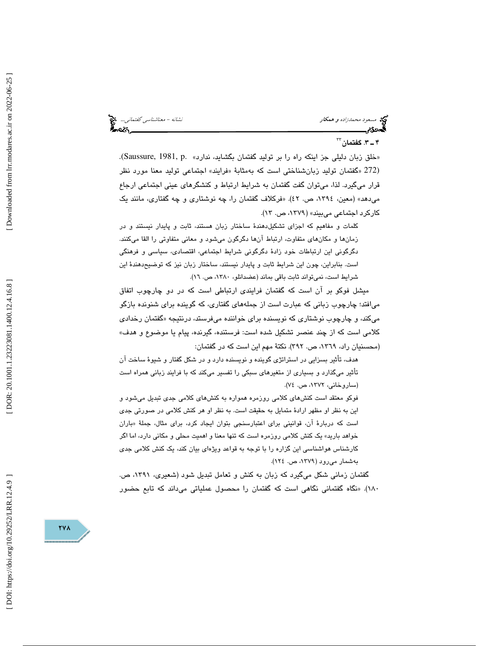مسعود محمدزاده و همكار نشانه - معناشناسي گفتماني... من كار مسعود محمدزاده و همكار نشانه - معناشناسي گفتماني...<br>**گست3ن - مسعود محمدزاده و همكار نشان كار كار محمد است.** 

## $^{\mathsf{FT}}$ . گفتمان  $\mathsf{F}$

«خلق زبان دلیلی جز اینکه راه را بر تولید گفتمان بگشاید، ندارد» .Saussure, 1981, p. فرايند» اجتماعي توليد معنا مورد نظر (272 « گفتمان توليد زبانشناختي است كه بهمثابة « قرار ميگيرد. لذا، ميتوان گفت گفتمان به شرايط ارتباط و كنشگرهاي عيني اجتماعي ارجاع ميدهد» (معين، ،1394 ص. 42 «). فركلاف گفتمان را، چه نوشتاري و چه گفتاري، مانند يك كاركرد اجتماعي مي بيند» ( ١٣٧٩، ص. ١٣).

كلمات و مفاهيم كه اجزاي تشكيلدهندة ساختار زبان هستند، ثابت و پايدار نيستند و در زمانها و مكانهاي متفاوت، ارتباط آنها دگرگون ميشود و معاني متفاوتي را القا ميكنند. دگرگوني اين ارتباطات خود زادة دگرگوني شرايط اجتماعي، اقتصادي، سياسي و فرهنگي است . بنابراين ، چون اين شرايط ثابت و پايدار نيستند، ساختار زبان نيز كه توضيحدهندة اين شرايط است، نمي تواند ثابت باقي بماند (عضدانلو، ١٣٨٠، ص. ١٦).

ميشل فوكو بر آن است كه گفتمان فرايندي ارتباطي است كه در دو چارچوب اتفاق ميافتد؛ چارچوب زباني كه عبارت است از جملههاي گفتاري ، كه گوينده براي شنونده بازگو میکند، و چارچوب نوشتاری که نویسنده برای خواننده میفرستد، درنتیجه «گفتمان رخدا*دی* كلامي است كه از چند عنصر تشكيل شده است: فرستنده، گيرنده، پيام يا موضوع و هدف» (محسنيان راد، ١٣٦٩، ص. ٣٩٢). نكتهٔ مهم اين است كه در گفتمان:

هدف، تأثير بسزايي در استراتژي گوينده و نويسنده دارد و در شكل گفتار و شيوة ساخت آن تأثير ميگذارد و بسياري از متغيرهاي سبكي را تفسير ميكند كه با فرايند زباني همراه است (ساروخاني، ١٣٧٢، ص. ٧٤).

فوكو معتقد است كنشهاي كلامي روزمره همواره به كنشهاي كلامي جدي تبديل ميشود و اين به نظر او مظهر ارادة متمايل به حقيقت است. به نظر او هر كنش كلامي در صورتي جدي است كه دربارهٔ ان، قوانینی برای اعتبارسنجی بتوان ایجاد كرد، برای مثال، جملهٔ «باران خواهد باريد» يك كنش كلامي روزمره است كه تنها معنا و اهميت محلي و مكاني دارد ، اما اگر كارشناس هواشناسي اين گزاره را با توجه به قواعد ويژهاي بيان كند، يك كنش كلامي جدي بهشمار ميرود (،1379 ص. 124 ).

گفتمان زماني شكل ميگيرد كه زبان به كنش و تعامل تبديل شود (شعيري، ،1391 ص. 180). «نگاه گفتماني نگاهي است كه گفتمان را محصول عملياتي ميداند كه تابع حضور

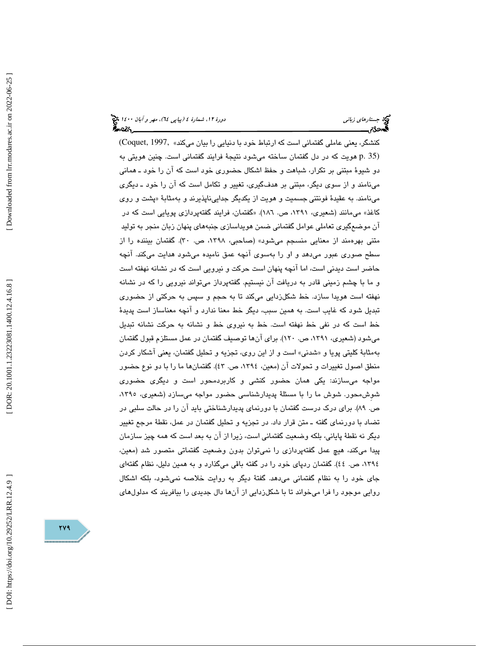كنشگر، يعني عاملي گفتماني است كه ارتباط خود با دنيايي را بيان ميكند» ,Coquet, 1997 (35 .p هويت كه در دل گفتمان ساخته ميشود نتيجة فرايند گفتماني است. چنين هويتي به دو شيوة مبتني بر تكرار، شباهت و حفظ اشكال حضوري خود است كه آن را خود ـ هماني مينامند و از سوي ديگر، مبتني بر هدفگيري، تغيير و تكامل است كه آن را خود ـ ديگري مینامند. به عقیدهٔ فونتنی جسمیت و هویت از یکدیگر جداییناپذیرند و بهمثابهٔ «پشت و روی كاغذ» ميمانند (شعيري، ،1391 ص. 186). «گفتمان، فرايند گفتهپردازي پويايي است كه در آن موضعگيري تعاملي عوامل گفتماني ضمن هويداسازي جنبههاي پنهان زبان منجر به توليد متني بهرهمند از معنايي منسجم ميشود» (صاحبي، ،1398 ص. 30). گفتمان بيننده را از سطح صوري عبور ميدهد و او را بهسوي آنچه عمق ناميده ميشود هدايت ميكند. آنچه حاضر است ديدني است، اما آنچه پنهان است حركت و نيرويي است كه در نشانه نهفته است و ما با چشم زميني قادر به دريافت آن نيستيم. گفتهپرداز ميتواند نيرويي را كه در نشانه نهفته است هويدا سازد. خط شكلزدايي ميكند تا به حجم و سپس به حركتي از حضوري تبديل شود كه غايب است. به همين سبب، ديگر خط معنا ندارد و آنچه معناساز است پديدة خط است كه در نفي خط نهفته است. خط به نيروي خط و نشانه به حركت نشانه تبديل ميشود (شعيري، ،1391 ص. 120). براي آنها توصيف گفتمان در عمل مستلزم قبول گفتمان بهمثابهٔ كليتي پويا و «شدني» است و از اين روی، تجزيه و تحليل گفتمان، يعني اشكار كردن منطق اصول تغييرات و تحولات آن (معين، ،1394 ص. 43). گفتمانها ما را با دو نوع حضور مواجه ميسازند: يكي همان حضور كنشي و كاربردمحور است و ديگري حضوري شوِشمحور. شوش ما را با مسئلة پديدارشناسي حضور مواجه ميسازد (شعيري، ،1395 ص. 89). براي درك درست گفتمان با دورنماي پديدارشناختي بايد آن را در حالت سلبي در تضاد با دورنماي گفته ـ متن قرار داد. در تجزيه و تحليل گفتمان در عمل، نقطة مرجع تغيير ديگر نه نقطة پاياني، بلكه وضعيت گفتماني است، زيرا از آن به بعد است كه همه چيز سازمان پيدا ميكند، هيچ عمل گفتهپردازي را نميتوان بدون وضعيت گفتماتي متصور شد (معين، ،1394 ص. 44). گفتمان ردپاي خود را در گفته باقي ميگذارد و به همين دليل، نظام گفتهاي جاي خود را به نظام گفتماني ميدهد. گفتة ديگر به روايت خلاصه نميشود، بلكه اشكال روايي موجود را فرا ميخواند تا با شكلزدايي از آنها دال جديدي را بيافريند كه مدلولهاي

DOI: https://doi.org/10.29252/LRR.12.4.9

 $YY9$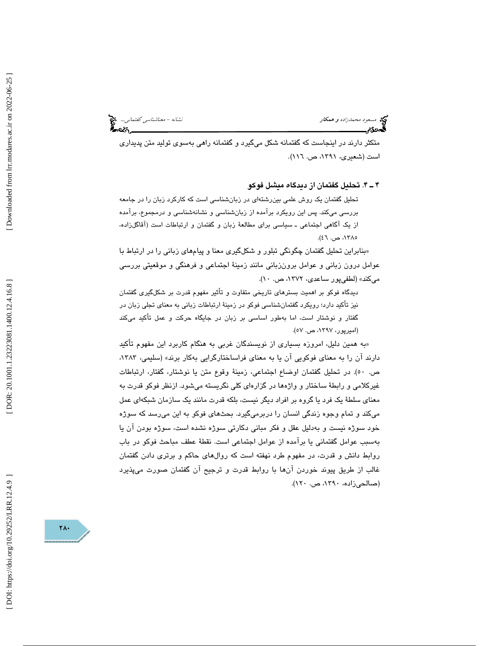مسعود محمدزاده و همكار نشانه - معناشناسي گفتماني... من كار مسعود محمدزاده و همكار نشانه - معناشناسي گفتماني...<br>**گست3ن - مسعود محمدزاده و همكار نشان كار كار محمد است.** 

متكثر دارند در اينجاست كه گفتمانه شكل ميگيرد و گفتمانه راهي بهسوي توليد متن پديداري . است (شعيري، ،1391 ص. 116)

4ـ 4 . تحليل گفتمان از ديدگاه ميشل فوكو

تحليل گفتمان يك روش علمي بينرشتهاي در زبانشناسي است كه كاركرد زبان را در جامعه بررسي ميكند. پس اين رويكرد برآمده از زبانشناسي و نشانهشناسي و درمجموع ، برآمده از يك آگاهي اجتماعيـ سياسي براي مطالعة زبان و گفتمان و ارتباطات است (آقاگلزاده، ،1385 ص. )46.

بنابراين تحليل گفتمان چگونگي تبلور و شكلگيري معنا و پيامهاي زباني را در ارتباط با » عوامل درون زباني و عوامل برونزباني مانند زمينة اجتماعي و فرهنگي و موقعيتي بررسي مي كند» (لطفي پور ساعدي، ١٣٧٢، ص. ١٠).

ديدگاه فوكو بر اهميت بسترهاي تاريخي متفاوت و تأثير مفهوم قدرت بر شكلگيري گفتمان نيز تأكيد دارد؛ رويكرد گفتمانشناسي فوكو در زمينة ارتباطات زباني به معناي تجلي زبان در گفتار و نوشتار است ، اما بهطور اساسي بر زبان در جايگاه حركت و عمل تأكيد ميكند (اميرپور، ،1397 ص. )57.

«به همین دلیل، امروزه بسیاری از نویسندگان غربی به هنگام کاربرد این مفهوم تأکید دارند آن را به معناي فوكويي آن يا به معناي فراساختارگرايي بهكار برند» (سليمي، ،1383 ص. 50). در تحليل گفتمان اوضاع اجتماعي، زمينة وقوع متن يا نوشتار، گفتار، ارتباطات غيركلامي و رابطة ساختار و واژهها در گزارهاي كلي نگريسته ميشود. ازنظر فوكو قدرت به معناي سلطة يك فرد يا گروه بر افراد ديگر نيست، بلكه قدرت مانند يك سازمان شبكهاي عمل ميكند و تمام وجوه زندگي انسان را دربرميگيرد. بحثهاي فوكو به اين ميرسد كه سوژه خود سوژه نيست و بهدليل عقل و فكر مباني دكارتي سوژه نشده است، سوژه بودن آن يا بهسبب عوامل گفتماني يا برآمده از عوامل اجتماعي است. نقطة عطف مباحث فوكو در باب روابط دانش و قدرت، در مفهوم طرد نهفته است كه روالهاي حاكم و برتري دادن گفتمان غالب از طريق پيوند خوردن آنها با روابط قدرت و ترجيح آن گفتمان صورت ميپذيرد (صالحيزاده، ،1390 ص. 120).

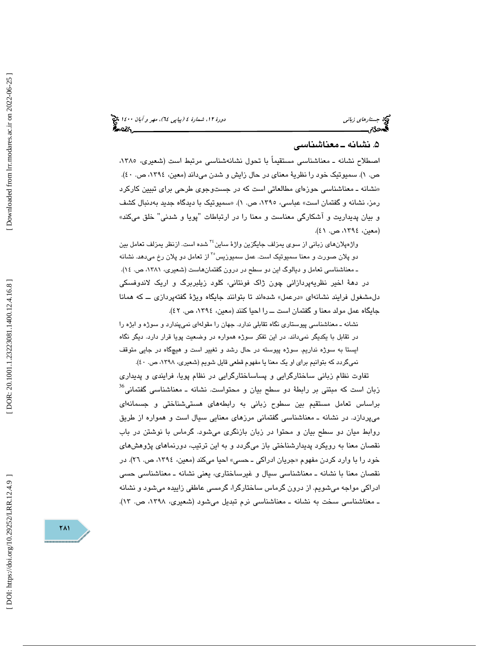# . نشانه ـ معناشناسي 5

اصطلاح نشانه ـ معناشناسي مستقيماً با تحول نشانهشناسي مرتبط است (شعيري، ،1385 ص. ۱). سميوتيك خود را نظرية معناي در حال زايش و شدن ميداند (معين، ١٣٩٤، ص. ٤٠). «نشانه ـ معناشناسی حوزهای مطالعاتی است كه در جستوجوی طرحی برای تبیین كاركرد رمز، نشانه و گفتمان است» عباسی، ۱۳۹۰، ص. ۱). «سمیوتیک با دیدگاه جدید بهدنبال کشف و بيان پديداريت و آشكارگي معناست و معنا را در ارتباطات "پويا و شدني" خلق ميكند» (معين، ١٣٩٤، ص. ٤١).

واژهپلانهای زبانی از سوی پمزلف جایگزین واژهٔ ساین<sup>۲۶</sup> شده است. ازنظر پمزلف تعامل بین دو پلان صورت و معنا سميوتيک است. عمل سميوزيس°<sup>۳</sup> از تعامل دو پلان رخ ميدهد. نشانه ـ معناشناسي تعامل و ديالوگ اين دو سطح در درون گفتمانهاست (شعيري، ،1381 ص. )14. در دهة اخير نظريهپردازاني چون ژاك فونتاني، كلود زيلبربرگ و اريك لاندوفسكي دل.مشغول فرايند نشانهای «درعمل» شدهاند تا بتوانند جايگاه ويژهٔ گفتهپردازی ـــ كه همانا جايگاه عمل مولد معنا و گفتمان است ـــ را احيا كنند (معين، ١٣٩٤، ص. ٤٢).

نشانه ـ معناشناسي پيوستاري نگاه تقابلي ندارد. جهان را مقولهاي نميپندارد و سوژه و ابژه را در تقابل با يكديگر نميداند. در اين تفكر سوژه همواره در وضعيت پويا قرار دارد. ديگر نگاه ايستا به سوژه نداريم. سوژه پيوسته در حال رشد و تغيير است و هيچگاه در جايي متوقف نميگردد كه بتوانيم براي او يك معنا يا مفهوم قطعي قايل شويم (شعيري، ١٣٩٨، ص. ٤٠).

تفاوت نظام زباني ساختارگرايي و پساساختارگرايي در نظام پويا، فرايندي و پديداري  $^{36}$ زبان است كه مبتنی بر رابطهٔ دو سطح بیان و محتواست. نشانه ـ معناشناسی گفتمانی براساس تعامل مستقيم بين سطوح زباني به رابطههاي هستيشناختي و جسمانهاي ميپردازد. در نشانه ـ معناشناسي گفتماني مرزهاي معنايي سيال است و همواره از طريق روابط ميان دو سطح بيان و محتوا در زبان بازنگري ميشود. گرماس با نوشتن در باب نقصان معنا به رويكرد پديدارشناختي باز ميگردد و به اين ترتيب، دورنماهاي پژوهشهاي خود را با وارد كردن مفهوم «جريان ادراكى ــ حسى» احيا مىكند (معين، ١٣٩٤، ص. ٢٦). در نقصان معنا با نشانه ـ معناشناسي سيال و غيرساختاري، يعني نشانه ـ معناشناسي حسي ادراكي مواجه ميشويم. از درون گرماس ساختارگرا، گرمسي عاطفي زاييده ميشود و نشانه ـ معناشناسي سخت به نشانه ـ معناشناسي نرم تبديل ميشود (شعيري، ،1398 ص. 13).

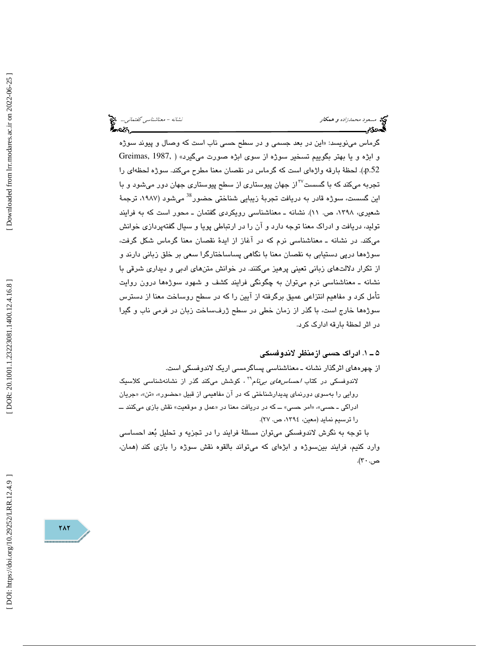مسعود محمدزاده و همكار نشانه - معناشناسی گفتمانی... می توان مسعود محمدزاده و همكار نشانه - معناشناسی گفتمانی...<br>**گست در این نشان به است که به است که است که است که به است که به است که به است که به است که به است که به است** 

گرماس مینویسد: «این در بعد جسمی و در سطح حسی ناب است كه وصال و پیوند سوژه و ابژه و يا بهتر بگوييم تسخير سوژه از سوی ابژه صورت میگيرد» ( Greimas, 1987, .p.52). لحظة بارقه واژهاي است كه گرماس در نقصان معنا مطرح ميكند. سوژه لحظهاي را تجربه میکند که با گسست<sup>۳۷</sup>از جهان پیوستاری از سطح پیوستاری جهان دور میشود و با اين گسست، سوژه قادر به دريافت تجربهٔ زيبايي شناختي حضور<sup>38</sup> ميشود (۱۹۸۷، ترجمهٔ شعيري، ،1398 ص. 11). نشانه ـ معناشناسي رويكردي گفتمان ـ محور است كه به فرايند توليد، دريافت و ادراك معنا توجه دارد و آن را در ارتباطي پويا و سيال گفتهپردازي خوانش ميكند. در نشانه ـ معناشناسي نرم كه در آغاز از ايدة نقصان معنا گرماس شكل گرفت، سوژهها درپي دستيابي به نقصان معنا با نگاهي پساساختارگرا سعي بر خلق زباني دارند و از تكرار دلالتهاي زباني تعيني پرهيز ميكنند. در خوانش متنهاي ادبي و ديداري شرقي با نشانه ـ معناشناسي نرم ميتوان به چگونگي فرايند كشف و شهود سوژهها درون روايت تأمل كرد و مفاهيم انتزاعي عميق برگرفته از آيين را كه در سطح روساخت معنا از دسترس سوژهها خارج است، با گذر از زمان خطي در سطح ژرفساخت زبان در فرمي ناب و گيرا در اثر لحظة بارقه ادارك كرد.

### 1ـ 5 . ادراك حسي ازمنظر لاندوفسكي

از چهرههاي اثرگذار نشانه ـ معناشناسي پساگرمسي اريك لاندوفسكي است.

لاندوفسكی در كتاب *احساس مای بیiا*م<sup>۳۹</sup> ، كوشش میكند گذر از نشانهشناسی كلاسیک روايي را بهسوي دورنماي پديدارشناختي كه در ان مفاهيمي از قبيل «حضور»، «تن»، «جريان ادراكي ــ حسي»، «امر حسي» ـــ كه در دريافت معنا در «عمل و موقعيت» نقش بازي ميكنند ــــ را ترسيم نمايد (معين، ،1394 ص. )27.

با توجه به نگرش لاندوفسكي ميتوان مسئلة فرايند را در تجزيه و تحليل بعد احساسي وارد كنيم، فرايند بينسوژه و ابژهاي كه ميتواند بالقوه نقش سوژه را بازي كند (همان، ص. ۳۰).

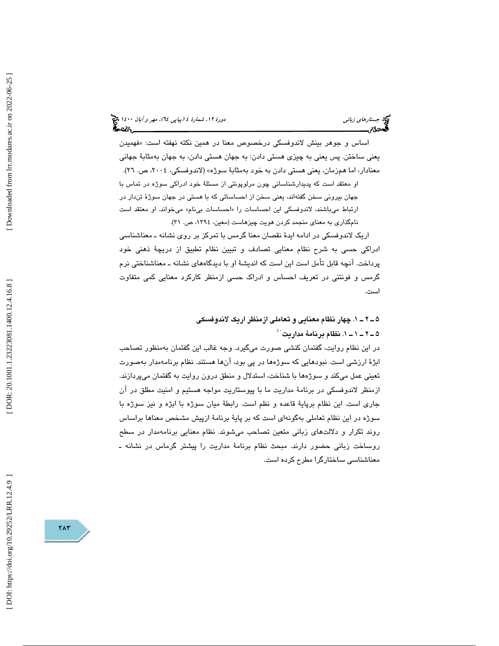(پياپي 64)، مهر و آبان 1400 جستارهاي زباني دورة ،12 شمارة 4

اساس و جوهر بينش لاندوفسكي درخصوص معنا در همين نكته نهفته است: «فهميدن يعني ساختن. پس يعني به چيزي هستي دادن: به جهان هستي دادن، به جهان بهمثابة جهاني معنادار، اما همزمان، يعني هستي دادن به خود بهمثابهٔ سوژه» (لاندوفسكي، ٢٠٠٤، ص. ٢٦).

او معتقد است كه پديدارشناساني چون مرلوپونتي از مسئلة خود ادراكي سوژه در تماس با جهان بيروني سخن گفتهاند، يعني سخن از احساساتي كه با هستي در جهان سوژهٔ تندار در ارتباط ميباشند، لاندوفسكي اين احساسات را «احساسات بيiام» ميخواند. او معتقد است نامگذاري به معناي منجمد كردن هويت چيزهاست (معين، ١٣٩٤، ص. ٣١).

اريك لاندوفسكي در ادامه ايدة نقصان معنا گرمس با تمركز بر روي نشانه ـ معناشناسي ادراكي حسي به شرح نظام معنايي تصادف و تبيين نظام تطبيق از دريچة ذهني خود پرداخت. آنچه قابل تأمل است اين است كه انديشة او با ديدگاههاي نشانه ـ معناشناختي نرم گرمس و فونتني در تعريف احساس و ادراك حسي ازمنظر كاركرد معنايي كمي متفاوت است.

> 1ـ 2ـ 5 . چهار نظام معنايي و تعاملي ازمنظر اريك لاندوفسكي ۵ ــ ۲ ــ ۱ ــ ۱. نظام برنامهٔ مداریت َ ٔ

در اين نظام روايت، گفتمان كنشي صورت ميگيرد. وجه غالب اين گفتمان بهمنظور تصاحب ابژة ارزشي است. نبودهايي كه سو ژهها در پي بود، آنها هستند. نظام برنامهمدار بهصورت تعيني عمل ميكند و سوژهها با شناخت، استدلال و منطق درون روايت به گفتمان ميپردازند. ازمنظر لاندوفسكي در برنامة مداريت ما با پيوستاريت مواجه هستيم و امنيت مطلق در آن جاري است. اين نظام برپاية قاعده و نظم است. رابطة ميان سوژه با ابژه و نيز سوژه با سوژه در اين نظام تعاملي بهگونهاي است كه بر پاية برنامة ازپيش مشخص معناها براساس روند تكرار و دلالتهاي زباني متعين تصاحب ميشوند. نظام معنايي برنامهمدار در سطح روساخت زباني حضور دارند. مبحث نظام برنامة مداريت را پيشتر گرماس در نشانه ـ معناشناسي ساختارگرا مطرح كرده است.

DOI: https://doi.org/10.29252/LRR.12.4.9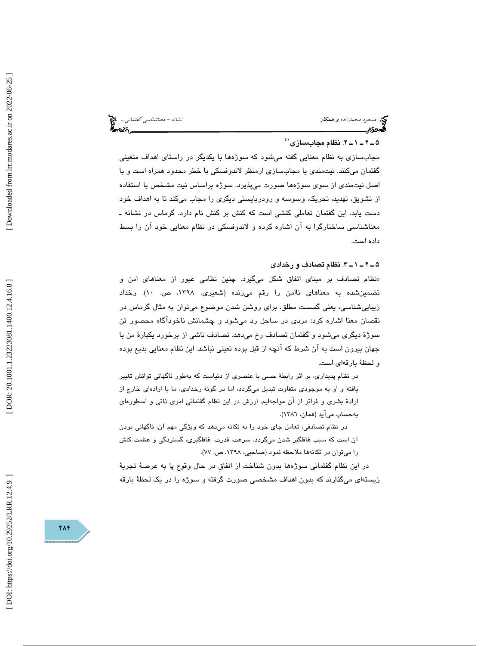مسعود محمدزاده و همكار نشانه - معناشناسي گفتماني... من كار مسعود محمدزاده و همكار نشانه - معناشناسي گفتماني...<br>**گست**مانيم

## ۵ ــ ۲ ــ ۱ ــ ۲. نظام مجابسازی $^{\text{\tiny (1)}}$

مجابسازي به نظام معنايي گفته ميشود كه سوژهها با يكديگر در راستاي اهداف متعيني گفتمان ميكنند. نيتمندي يا مجابسازي ازمنظر لاندوفسكي با خطر محدود همراه است و با اصل نيتمندي از سوي سوژهها صورت ميپذيرد. سوژه براساس نيت مشخص با استفاده از تشويق، تهديد، تحريك، وسوسه و رودربايستي ديگري را مجاب ميكند تا به اهداف خود دست يابد. اين گفتمان تعاملي كنشي است كه كنش بر كنش نام دارد. گرماس در نشانه ـ معناشناسي ساختارگرا به آن اشاره كرده و لاندوفسكي در نظام معنايي خود آن را بسط داده است.

### 3ـ 1ـ 2ـ 5 . نظام تصادف و رخدادي

نظام تصادف بر مبناي اتفاق شكل ميگيرد. چنين نظامي عبور از معناهاي امن و » تضمينشده به معناهاي ناامن را رقم ميزند» (شعيري، ،1398 ص. 10). رخداد زيباييشناسي، يعني گسست مطلق. براي روشن شدن موضوع ميتوان به مثال گرماس در نقصان معنا اشاره كرد: مردي در ساحل رد ميشود و چشمانش ناخودآگاه محصور تن سوژة ديگري ميشود و گفتمان تصادف رخ ميدهد. تصادف ناشي از برخورد يكبارة من با جهان بيرون است به آن شرط كه آنچه از قبل بوده تعيني نباشد. اين نظام معنايي بديع بوده و لحظة بارقهاي است.

در نظام پديداري، بر اثر رابطة حسي با عنصري از دنياست كه بهطور ناگهاني توانش تغيير يافته و او به موجودي متفاوت تبديل ميگردد، اما در گونة رخدادي، ما با ارادهاي خارج از ارادهٔ بشری و فراتر از آن مواجهايم. ارزش در اين نظام گفتمانی امری ذاتی و اسطورهای بهحساب مي آيد (همان، 1386 ).

در نظام تصادفي، تعامل جاي خود را به تكانه ميدهد كه ويژگي مهم آن، ناگهاني بودن آن است كه سبب غافلگير شدن ميگردد. سرعت، قدرت، غافلگيري، گستردگي و عظمت كنش را ميتوان در تكانهها ملاحظه نمود (صاحبي، ١٣٩٨، ص. ٧٧).

در اين نظام گفتماني سوژهها بدون شناخت از اتفاقِ در حال وقوع پا به عرصة تجربة زيستهاي ميگذارند كه بدون اهداف مشخصي صورت گرفته و سوژه را در يك لحظة بارقه

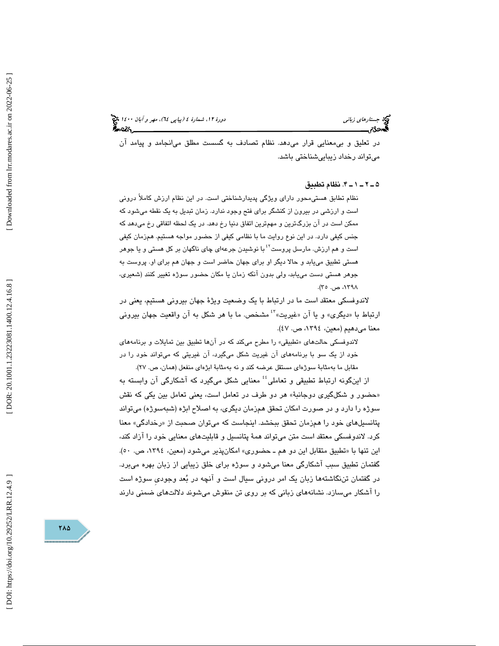در تعليق و بيمعنايي قرار ميدهد. نظام تصادف به گسست مطلق ميانجامد و پيامد آن ميتواند رخداد زيباييشناختي باشد.

### 4ـ 1ـ 2ـ 5 . نظام تطبيق

نظام تطابق هستيمحور داراي ويژگي پديدارشناختي است. در اين نظام ارزش كاملاً دروني است و ارزشي در بيرون از كنشگر براي فتح وجود ندارد. زمان تبديل به يك نقطه ميشود كه ممكن است در آن بزرگترين و مهمترين اتفاق دنيا رخ دهد. در يك لحظه اتفاقي رخ ميدهد كه جنس كيفي دارد. در اين نوع روايت ما با نظامي كيفي از حضور مواجه هستيم. همزمان كيفي است و هم ارزش. مارسل پروست<sup>۲</sup>ٔ با نوشیدن جرعهای چای ناگهان بر کل هستی و یا جوهر هستي تطبيق مييابد و حالا ديگر او براي جهان حاضر است و جهان هم براي او. پروست به جوهر هستي دست مييابد، ولي بدون آنكه زمان يا مكان حضور سوژه تغيير كنند (شعيري، ،۱۳۹۸ ص. ۲۰).

لاندوفسکی معتقد است ما در ارتباط با یک وضعیت ویژهٔ جهان بیرونی هستیم، یعنی در<br>ارتباط با «دیگری» و یا آن «غیریت»<sup>؟</sup> مشخص. ما با هر شکل به آن واقعیت جهان بیرونی معنا ميدهيم (معين، ،1394 ص. )47.

لاندوفسكي حالتهاي «تطبيقي» را مطرح ميكند كه در آنها تطبيق بين تمايلات و برنامههاي خود از يك سو با برنامههاي آن غيريت شكل ميگيرد، آن غيريتي كه ميتواند خود را در مقابل ما بهمثابة سوژهاي مستقل عرضه كند و نه بهمثابة ابژهاي منفعل (همان، ص. ٢٧).

از اينگونه ارتباط تطبيقي و تعاملي<sup>؛</sup> معنايي شكل ميگيرد كه آشكارگي آن وابسته به «حضور و شکلگیری دوجانبهٔ» هر دو طرف در تعامل است، یعنی تعامل بین یکی که نقش سوژه را دارد و در صورت امكان تحقق همزمان ديگري، به اصلاح ابژه (شبهسوژه) ميتواند پتانسیلهای خود را همزمان تحقق ببخشد. اینجاست كه میتوان صحبت از «رخدادگی» معنا كرد. لاندوفسكي معتقد است متن ميتواند همة پتانسيل و قابليتهاي معنايي خود را آزاد كند، اين تنها با «تطبيق متقابل اين دو هم ـ حضوري» امكانپذير ميشود (معين، ١٣٩٤، ص. ٥٠). گفتمان تطبيق سبب آشكارگي معنا ميشود و سوژه براي خلق زيبايي از زبان بهره ميبرد. در گفتمان تننگاشتهها زبان يك امر دروني سيال است و آنچه در بعد وجوديِ سوژه است را آشكار ميسازد. نشانههاي زباني كه بر روي تن منقوش ميشوند دلالتهاي ضمني دارند

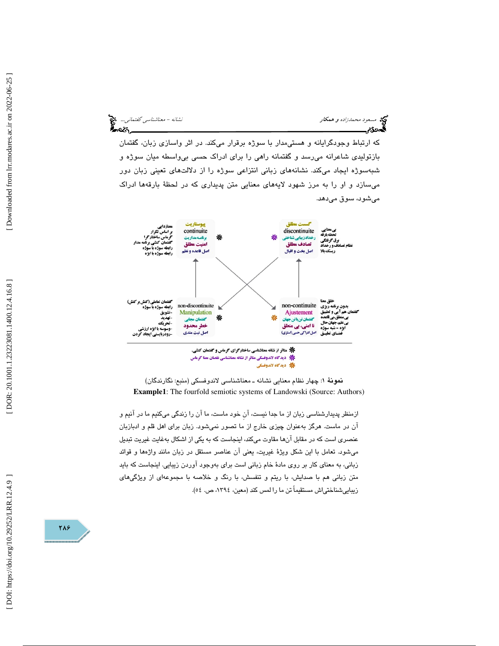مسعود محمدزاده و همكار نشانه - معناشناسي گفتماني... કૅૅ~લ્લ્લ્

كه ارتباط وجودگرايانه و هستيمدار با سوژه برقرار ميكند. در اثر واسازي زبان، گفتمان بازتوليدي شاعرانه ميرسد و گفتمانه راهي را براي ادراك حسي بيواسطه ميان سوژه و شبهسوژه ايجاد ميكند. نشانههاي زباني انتزاعي سوژه را از دلالتهاي تعيني زبان دور ميسازد و او را به مرز شهود لايههاي معنايي متن پديداري كه در لحظة بارقهها ادراك ميشود، سوق ميدهد.



\* ديدگاه لاندوفسكى

نمونة 1: چهار نظام معنايي نشانه ـ معناشناسي لاندوفسكي (منبع: نگارندگان) **Example1**: The fourfold semiotic systems of Landowski (Source: Authors)

 ازمنظر پديدارشناسي زبان از ما جدا نيست، آنِ خود ماست، ما آن را زندگي ميكنيم ما در آنيم و آن در ماست. هرگز بهعنوان چيزي خارج از ما تصور نميشود. زبان براي اهل قلم و ادبازبان عنصري است كه در مقابل آنها مقاوت ميكند، اينجاست كه به يكي از اشكال بهغايت غيريت تبديل ميشود. تعامل با اين شكل ويژة غيريت، يعني آن عناصر مستقل در زبان مانند واژهها و قوائد زباني، به معناي كار بر روي مادة خام زباني است براي بهوجود آوردن زيبايي. اينجاست كه بايد متن زباني هم با صدايش، با ريتم و تنفسش، با رنگ و خلاصه با مجموعهاي از ويژگيهاي زيباييشناختياش مستقيماً تن ما را لمس كند (معين، ،1394 ص. )54.

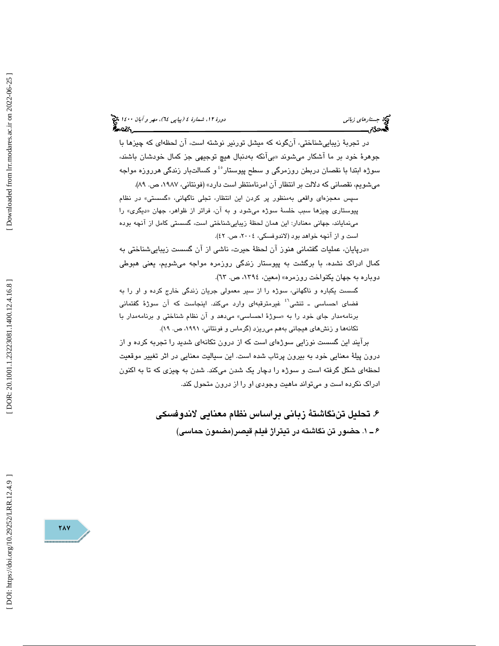در تجربة زيباييشناختي، آنگونه كه ميشل تورنير نوشته است، آن لحظهاي كه چيزها با جوهرهٔ خود بر ما اشکار میشوند «بیانکه بەدنبال هیچ توجیهی جز کمال خودشان باشند، سوژه ابتدا با نقصان دربطن روزمرگی و سطح پیوستار°ٴ و کسالتبار زندگی هرروزه مواجه مي شويم، نقصاني كه دلالت بر انتظار آن امرنامنتظر است دارد» (فونتاني، ١٩٨٧، ص. ٨٩).

سپس معجزهای واقعی بهمنظور پر کردن این انتظار، تجلی ناگهانی، «گسستی» در نظام پيوستار*ی* چيزها سبب خلسهٔ سوژه میشود و به ان، فراتر از ظواهر، جهان «ديگری» را مينماياند، جهاني معنادار: اين همان لحظة زيباييشناختي است، گسستي كامل از آنچه بوده است و از آنچه خواهد بود (لاندوفسكي، ٢٠٠٤، ص. ٤٢).

 درپايان، عمليات گفتماني هنوز آن لحظة حيرت، ناشي از آن گسست زيباييشناختي به » كمال ادراك نشده، با برگشت به پيوستار زندگي روزمره مواجه ميشويم، يعني هبوطي دوباره به جهان يكنواخت روزمره» (معين، ،1394 ص. )63.

گسست يكباره و ناگهاني، سوژه را از سير معمولي جريان زندگي خارج كرده و او را به فضاي احساسي ـ تنشي<sup>٬؟</sup> غيرمترقبهاي وارد ميكند. اينجاست كه آن سوژهٔ گفتماني برنامهمدار جای خود را به «سوژهٔ احساسی» میدهد و ان نظام شناختی و برنامهمدار با تكانهها و زنشهاي هيجاني بههم ميريزد (گرماس و فونتاني، ،1991 ص. )19.

برآيند اين گسست نوزايي سوژ هاي است كه از درون تكانهاي شديد را تجربه كرده و از درون پيلة معنايي خود به بيرون پرتاب شده است. اين سياليت معنايي در اثر تغيير موقعيت لحظهاي شكل گرفته است و سوژه را دچار يك شدن ميكند. شدن به چيزي كه تا به اكنون ادراك نكرده است و ميتواند ماهيت وجودي او را از درون متحول كند.

> . تحليل تننگاشتة زباني براساس نظام معنايي لاندوفسكي 6 ۶ ــ ۱. حضور تن نگاشته در تيتراژ فيلم قيصر(مضمون حماسي)

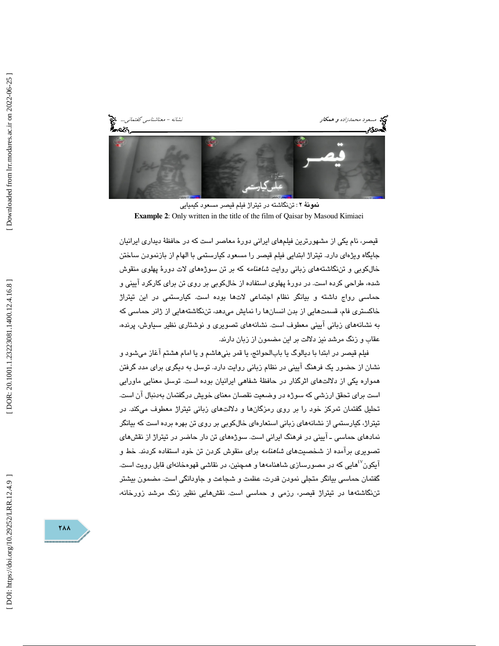

نمونة : 2 تننگاشته در تيتراژ فيلم قيصر مسعود كيميايي **Example 2**: Only written in the title of the film of Qaisar by Masoud Kimiaei

قيصر، نام يكي از مشهورترين فيلمهاي ايراني دورة معاصر است كه در حافظة ديداري ايرانيان جايگاه ويژهاي دارد. تيتراژ ابتدايي فيلم قيصر را مسعود كيارستمي با الهام از بازنمودن ساختن خالکوبی و تن نگاشتههای زبانی روایت *شاهنامه* که بر تن سوژههای لات دورهٔ پهلوی منقوش شده، طراحي كرده است. در دورة پهلوي استفاده از خالكوبي بر روي تن براي كاركرد آييني و حماسي رواج داشته و بيانگر نظام اجتماعي لاتها بوده است. كيارستمي در اين تيتراژ خاكستري فام، قسمتهايي از بدن انسانها را نمايش ميدهد، تننگاشتههايي از ژانر حماسي كه به نشانههاي زباني آييني معطوف است. نشانههاي تصويري و نوشتاري نظير سياوش، پرنده، عقاب و زنگ مرشد نيز دلالت بر اين مضمون از زبان دارند.

فيلم قيصر در ابتدا با ديالوگ يا بابالحوائج، يا قمر بنيهاشم و يا امام هشتم آغاز ميشود و نشان از حضور يك فرهنگ آييني در نظام زباني روايت دارد. توسل به ديگري براي مدد گرفتن همواره يكي از دلالتهاي اثرگذار در حافظة شفاهي ايرانيان بوده است. توسل معنايي ماورايي است براي تحقق ارزشي كه سوژه در وضعيت نقصان معناي خويش درگفتمان بهدنبال آن است. تحليل گفتمان تمركز خود را بر روي رمزگانها و دلالتهاي زباني تيتراژ معطوف ميكند. در تيتراژ، كيارستمي از نشانههاي زباني استعارهاي خالكوبي بر روي تن بهره برده است كه بيانگر نمادهاي حماسي ـ آييني در فرهنگ ايراني است. سوژههاي تن دار حاضر در تيتراژ از نقشهاي تصويري برآمده از شخصيتهاي شاهنامه براي منقوش كردن تن خود استفاده كردند. خط و آيكون<sup>57</sup>هايي كه در مصورسازي شاهنامهها و همچنين، در نقاش*ي* قهومخانهاي قابل رويت است. گفتمان حماسي بيانگر متجلي نمودن قدرت، عظمت و شجاعت و جاودانگي است. مضمون بيشتر تننگاشتهها در تيتراژ قيصر، رزمي و حماسي است. نقشهايي نظير زنگ مرشد زورخانه،

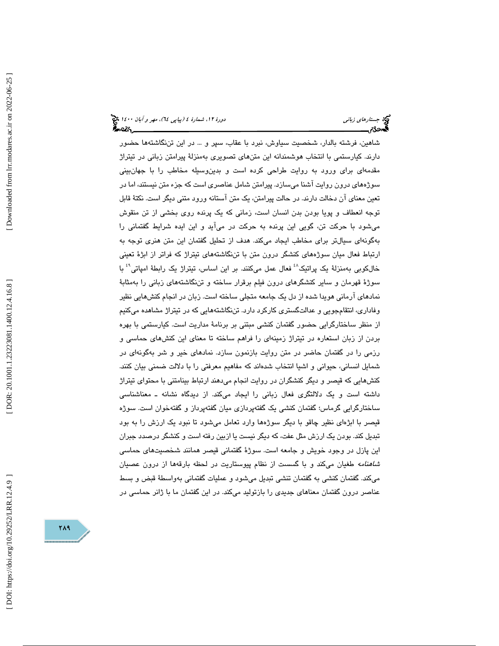(پياپي 64)، مهر و آبان 1400 جستارهاي زباني دورة ،12 شمارة 4

شاهين، فرشته بالدار، شخصيت سياوش، نبرد با عقاب، سپر و ... در اين تننگاشتهها حضور دارند. كيارستمي با انتخاب هوشمندانه اين متنهاي تصويري بهمنزلة پيرامتن زباني در تيتراژ مقدمهاي براي ورود به روايت طراحي كرده است و بدينوسيله مخاطب را با جهانبيني سوژههاي درون روايت آشنا ميسازد. پيرامتن شامل عناصري است كه جزء متن نيستند، اما در تعين معناي آن دخالت دارند. در حالت پيرامتن، يك متن آستانه ورود متني ديگر است. نكتة قابل توجه انعطاف و پويا بودن بدن انسان است، زماني كه يك پرنده روي بخشي از تن منقوش ميشود با حركت تن، گويي اين پرنده به حركت در ميآيد و اين ايده شرايط گفتماني را بهگونهاي سيالتر براي مخاطب ايجاد ميكند. هدف از تحليل گفتمان اين متن هنري توجه به ارتباط فعال ميان سوژههاي كنشگر درون متن با تننگاشتههاي تيتراژ كه فراتر از ابژة تعيني خالکوبی بەمنزلۀ یک پراتیک<sup>٤٠</sup> فعال عمل میکنند. بر این اساس، تیتراژ یک رابطۀ امپاتی<sup>٤٩</sup> با سوژة قهرمان و ساير كنشگرهاي درون فيلم برقرار ساخته و تننگاشتههاي زباني را بهمثابة نمادهاي آرماني هويدا شده از دل يك جامعه متجلي ساخته است. زبان در انجام كنشهايي نظير وفاداري، انتقامجويي و عدالتگستري كاركرد دارد. تننگاشتههايي كه در تيتراژ مشاهده ميكنيم از منظر ساختارگرايي حضور گفتمان كنشي مبتني بر برنامة مداريت است. كيارستمي با بهره بردن از زبان استعاره در تيتراژ زمينهاي را فراهم ساخته تا معناي اين كنشهاي حماسي و رزمي را در گفتمان حاضر در متن روايت بازنمون سازد. نمادهاي خير و شر بهگونهاي در شمايل انساني، حيواني و اشيا انتخاب شدهاند كه مفاهيم معرفتي را با دلالت ضمني بيان كنند. كنشهايي كه قيصر و ديگر كنشگران در روايت انجام ميدهند ارتباط بينامتني با محتواي تيتراژ داشته است و يك دلالتگري فعال زباني را ايجاد ميكند. از ديدگاه نشانه ـ معناشناسي ساختارگرايي گرماس؛ گفتمان كنشي يك گفتهپردازي ميان گفتهپرداز و گفتهخوان است. سوژه قيصر با ابژهاي نظير چاقو با ديگر سوژهها وارد تعامل ميشود تا نبود يك ارزش را به بود تبديل كند. بودن يك ارزش مثل عفت، كه ديگر نيست يا ازبين رفته است و كنشگر درصدد جبران اين پازل در وجود خويش و جامعه است. سوژة گفتماني قيصر همانند شخصيتهاي حماسي *شاهنامه* طغیان میکند و با گسست از نظام پیوستاریت در لحظه بارقهها از درون عصبیان ميكند. گفتمان كنشي به گفتمان تنشي تبديل ميشود و عمليات گفتماني بهواسطة قبض و بسط عناصر درون گفتمان معناهاي جديدي را بازتوليد ميكند. در اين گفتمان ما با ژانر حماسي در

719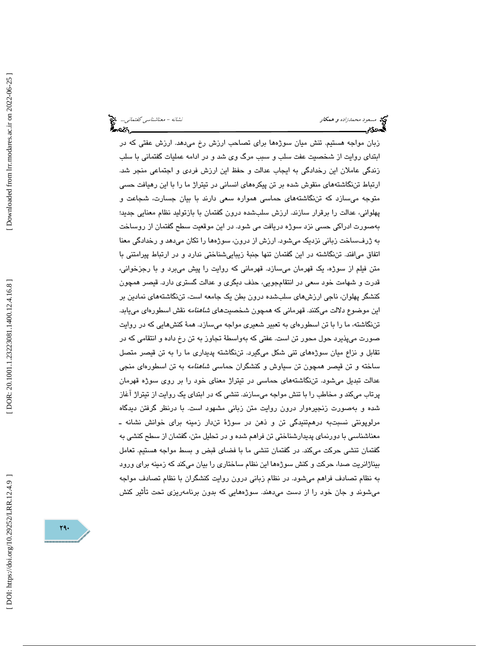مسعود محم*دزاده و همكار نشانه - معناشناسي گفتماني...*. مخ<mark>ت</mark><br>مسعود محم*دزاده و همكار*<br>مسجد گفت براي گفت براي گفت براي گفت براي گفت براي گفت براي گفت براي گفت براي گفت براي گفت براي گفت براي گفت براي

زبان مواجه هستيم. تنش ميان سوژهها براي تصاحب ارزش رخ ميدهد. ارزش عفتي كه در ابتداي روايت از شخصيت عفت سلب و سبب مرگ وي شد و در ادامه عمليات گفتماني با سلب زندگي عاملان اين رخدادگي به ايجاب عدالت و حفظ اين ارزش فردي و اجتماعي منجر شد. ارتباط تننگاشتههاي منقوش شده بر تن پيكرههاي انساني در تيتراژ ما را با اين رهيافت حسي متوجه ميسازد كه تننگاشتههاي حماسي همواره سعي دارند با بيان جسارت، شجاعت و پهلواني، عدالت را برقرار سازند. ارزش سلبشده درون گفتمان با بازتوليد نظام معنايي جديد؛ بهصورت ادراكي حسي نزد سوژه دريافت مي شود. در اين موقعيت سطح گفتمان از روساخت به ژرفساخت زباني نزديك ميشود. ارزش از درون، سوژهها را تكان ميدهد و رخدادگي معنا اتفاق ميافتد. تننگاشته در اين گفتمان تنها جنبة زيباييشناختي ندارد و در ارتباط پيرامتني با متن فيلم از سوژه، يك قهرمان ميسازد. قهرماني كه روايت را پيش ميبرد و با رجزخواني، قدرت و شهامت خود سعي در انتقامجويي، حذف ديگري و عدالت گستري دارد. قيصر همچون كنشگر پهلوان، ناجي ارزشهاي سلبشده درون بطن يك جامعه است، تننگاشتههاي نمادين بر اين موضوع دلالت ميكنند. قهرماني كه همچون شخصيتها*ي شاهنامه* نقش اسطورهاي مييابد. تننگاشته، ما را با تن اسطورهاي به تعبير شعيري مواجه ميسازد. همة كنشهايي كه در روايت صورت ميپذيرد حول محور تن است. عفتي كه بهواسطة تجاوز به تن رخ داده و انتقامي كه در تقابل و نزاع ميان سوژههاي تني شكل ميگيرد. تننگاشته پديداري ما را به تن قيصر متصل ساخته و تن قیصر همچون تن سیاوش و کنشگران حماس*ی شاهنامه* به تن اسطورهای منجی عدالت تبديل ميشود. تننگاشتههاي حماسي در تيتراژ معناي خود را بر روي سوژه قهرمان پرتاب ميكند و مخاطب را با تنش مواجه ميسازند. تنشي كه در ابتداي يك روايت از تيتراژ آغاز شده و بهصورت زنجيرهوار درون روايت متن زباني مشهود است. با درنظر گرفتن ديدگاه مرلوپونتي نسبتبه در همتنيدگي تن و ذهن در سوژة تندار زمينه براي خوانش نشانه ـ معناشناسي با دورنماي پديدارشناختي تن فراهم شده و در تحليل متن، گفتمان از سطح كنشي به گفتمان تنشي حركت ميكند. در گفتمان تنشي ما با فضاي قبض و بسط مواجه هستيم. تعامل بيناژانريت صدا، حركت و كنش سوژهها اين نظام ساختاري را بيان ميكند كه زمينه براي ورود به نظام تصادف فراهم ميشود. در نظام زباني درون روايت كنشگران با نظام تصادف مواجه ميشوند و جان خود را از دست ميدهند. سوژههايي كه بدون برنامهريزي تحت تأثير كنش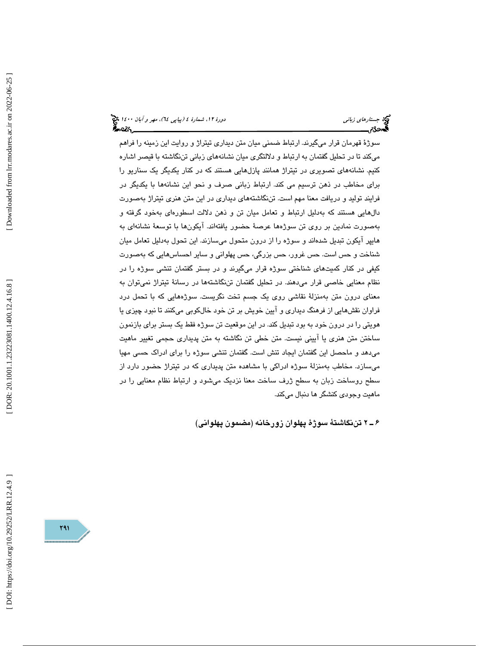سوژة قهرمان قرار ميگيرند. ارتباط ضمني ميان متن ديداري تيتراژ و روايت اين زمينه را فراهم ميكند تا در تحليل گفتمان به ارتباط و دلالتگري ميان نشانههاي زباني تننگاشته با قيصر اشاره كنيم. نشانههاي تصويري در تيتراژ همانند پازلهايي هستند كه در كنار يكديگر يك سناريو را براي مخاطب در ذهن ترسيم مي كند. ارتباط زباني صرف و نحو اين نشانهها با يكديگر در فرايند توليد و دريافت معنا مهم است. تننگاشتههاي ديداري در اين متن هنري تيتراژ بهصورت دالهايي هستند كه بهدليل ارتباط و تعامل ميان تن و ذهن دلالت اسطورهاي بهخود گرفته و بهصورت نمادين بر روي تن سوژهها عرصة حضور يافتهاند. آيكونها با توسعة نشانهاي به هايپر آيكون تبديل شدهاند و سوژه را از درون متحول ميسازند. اين تحول بهدليل تعامل ميان شناخت و حس است. حس غرور، حس بزرگي، حس پهلواني و ساير احساسهايي كه بهصورت كيفي در كنار كميتهاي شناختي سوژه قرار ميگيرند و در بستر گفتمان تنشي سوژه را در نظام معنايي خاصي قرار ميدهند. در تحليل گفتمان تننگاشتهها در رسانة تيتراژ نميتوان به معناي درون متن بهمنزلة نقاشي روي يك جسم تخت نگريست. سو ژههايي كه با تحمل درد فراوان نقشهايي از فرهنگ ديداري و آيين خويش بر تن خود خالكوبي ميكنند تا نبود چيزي يا هويتي را در درون خود به بود تبديل كند. در اين موقعيت تن سوژه فقط يك بستر براي بازنمون ساختن متن هنري يا آييني نيست. متن خطي تن نگاشته به متن پديداري حجمي تغيير ماهيت ميدهد و ماحصل اين گفتمان ايجاد تنش است. گفتمان تنشي سوژه را براي ادراك حسي مهيا ميسازد. مخاطب بهمنزلة سوژه ادراكي با مشاهده متن پديداري كه در تيتراژ حضور دارد از سطح روساخت زبان به سطح ژرف ساخت معنا نزديك ميشود و ارتباط نظام معنايي را در ماهيت وجودي كنشگر ها دنبال ميكند.

۶ ـ ۲ تننگاشتهٔ سوژهٔ پهلوان زورخانه (مضمون پهلوانی)

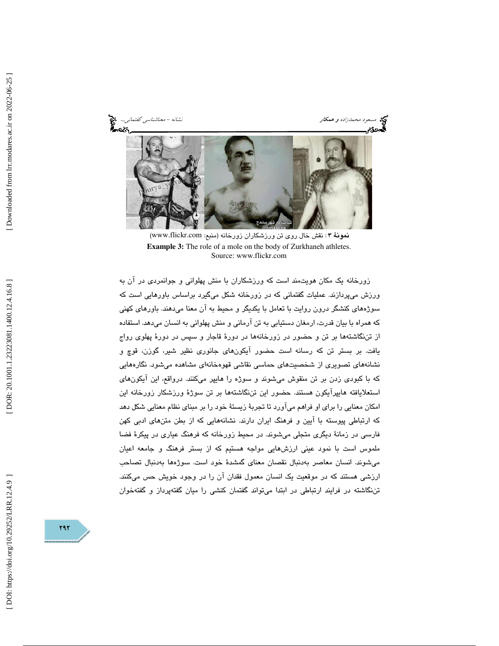مسعود محمدزاده و همكار نشانه - معناشناسی گفتمانی... مختلف است.<br>**همین گفتمانی بیناله است که در است که در است که در است که در است که در است که در است که در است که در است که در**<br>**همین گفته است که در است که در است که در است ک** 

نمونة ٣: نقش خال روي تن ورزشكاران زورخانه (منبع: www.flickr.com) **Example 3:** The role of a mole on the body of Zurkhaneh athletes. Source: www.flickr.com

 زورخانه يك مكان هويتمند است كه ورزشكاران با منش پهلواني و جوانمردي در آن به ورزش ميپردازند. عمليات گفتماني كه در زورخانه شكل ميگيرد براساس باورهايي است كه سوژههاي كنشگر درون روايت با تعامل با يكديگر و محيط به آن معنا ميدهند. باورهاي كهني كه همراه با بيان قدرت، ارمغان دستيابي به تن آرماني و منش پهلواني به انسان ميدهد. استفاده از تننگاشتهها بر تن و حضور در زورخانهها در دورة قاجار و سپس در دورة پهلوي رواج يافت. بر بستر تن كه رسانه است حضور آيكونهاي جانوري نظير شير، گوزن، قوچ و نشانههاي تصويري از شخصيتهاي حماسي نقاشي قهوه خانهاي مشاهده ميشود. نگارههايي كه با كبودي زدن بر تن منقوش ميشوند و سوژه را هايپر ميكنند. درواقع، اين آيكونهاي استعلايافته هايپرآيكون هستند. حضور اين تننگاشتهها بر تن سوژة ورزشكار زورخانه اين امكان معنايي را براي او فراهم ميآورد تا تجربة زيستة خود را بر مبناي نظام معنايي شكل دهد كه ارتباطي پيوسته با آيين و فرهنگ ايران دارند. نشانههايي كه از بطن متنهاي ادبي كهن فارسي در زمانة ديگري متجلي ميشوند. در محيط زورخانه كه فرهنگ عياري در پيكرة فضا ملموس است با نمود عيني ارزشهايي مواجه هستيم كه از بستر فرهنگ و جامعه اعيان ميشوند. انسان معاصر بهدنبال نقصان معناي گمشدة خود است. سوژهها بهدنبال تصاحب ارزشي هستند كه در موقعيت يك انسان معمول فقدان آن را در وجود خويش حس ميكنند. تننگاشته در فرايند ارتباطي در ابتدا ميتواند گفتمان كنشي را ميان گفتهپرداز و گفتهخوان

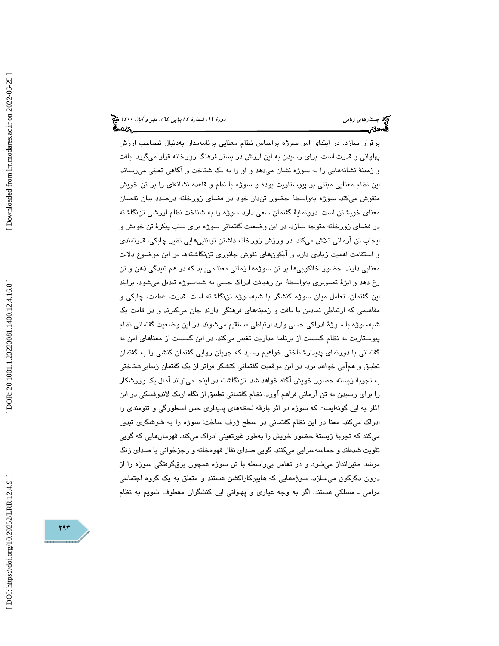(پياپي 64)، مهر و آبان 1400 جستارهاي زباني دورة ،12 شمارة 4

برقرار سازد. در ابتداي امر سوژه براساس نظام معنايي برنامهمدار بهدنبال تصاحب ارزش پهلواني و قدرت است. براي رسيدن به اين ارزش در بستر فرهنگ زورخانه قرار ميگيرد. بافت و زمينة نشانههايي را به سوژه نشان ميدهد و او را به يك شناخت و آگاهي تعيني ميرساند. اين نظام معنايي مبتني بر پيوستاريت بوده و سوژه با نظم و قاعده نشانهاي را بر تن خويش منقوش ميكند. سوژه بهواسطة حضور تندار خود در فضاي زورخانه درصدد بيان نقصان معناي خويشتن است. درونماية گفتمان سعي دارد سوژه را به شناخت نظام ارزشي تننگاشته در فضاي زورخانه متوجه سازد. در اين وضعيت گفتماني سوژه براي سلب پيكرة تن خويش و ايجاب تن آرماني تلاش ميكند. در ورزش زورخانه داشتن تواناييهايي نظير چابكي، قدرتمندي و استقامت اهميت زيادي دارد و آيكو نهاي نقوش جانوري تننگاشتهها بر اين موضوع دلالت معنايي دارند. حضور خالكوبيها بر تن سوژهها زماني معنا مييابد كه در هم تنيدگي ذهن و تن رخ دهد و ابژة تصويري بهواسطة اين رهيافت ادراك حسي به شبهسوژه تبديل ميشود. برايند اين گفتمان، تعامل ميان سوژه كنشگر با شبهسوژه تننگاشته است. قدرت، عظمت، چابكي و مفاهيمي كه ارتباطي نمادين با بافت و زمينههاي فرهنگي دارند جان ميگيرند و در قامت يك شبهسوژه با سوژة ادراكي حسي وارد ارتباطي مستقيم ميشوند. در اين وضعيت گفتماني نظام پيوستاريت به نظام گسست از برنامة مداريت تغيير ميكند. در اين گسست از معناهاي امن به گفتماني با دورنماي پديدارشناختي خواهيم رسيد كه جريان روايي گفتمان كنشي را به گفتمان تطبيق و همآيي خواهد برد. در اين موقعيت گفتماني كنشگر فراتر از يك گفتمان زيباييشناختي به تجربة زيسته حضور خويش آگاه خواهد شد. تننگاشته در اينجا ميتواند آمال يك ورزشكار را براي رسيدن به تن آرماني فراهم آورد. نظام گفتماني تطبيق از نگاه اريك لاندوفسكي در اين آثار به اين گونهايست كه سوژه در اثر بارقه لحظههاي پديداري حس اسطورگي و تنومندي را ادراك ميكند. معنا در اين نظام گفتماني در سطح ژرف ساخت؛ سوژه را به شوشگري تبديل ميكند كه تجربة زيستة حضور خويش را بهطور غيرتعيني ادراك ميكند. قهرمانهايي كه گويي تقويت شدهاند و حماسهسرايي ميكنند. گويي صداي نقال قهوهخانه و رجزخواني با صداي زنگ مرشد طنينانداز ميشود و در تعامل بيواسطه با تن سوژه همچون برقگرفتگي سوژه را از درون دگرگون ميسازد. سوژههايي كه هايپركاراكشن هستند و متعلق به يك گروه اجتماعي مرامي ـ مسلكي هستند. اگر به وجه عياري و پهلواني اين كنشگران معطوف شويم به نظام

DOI: https://doi.org/10.29252/LRR.12.4.9

 $797$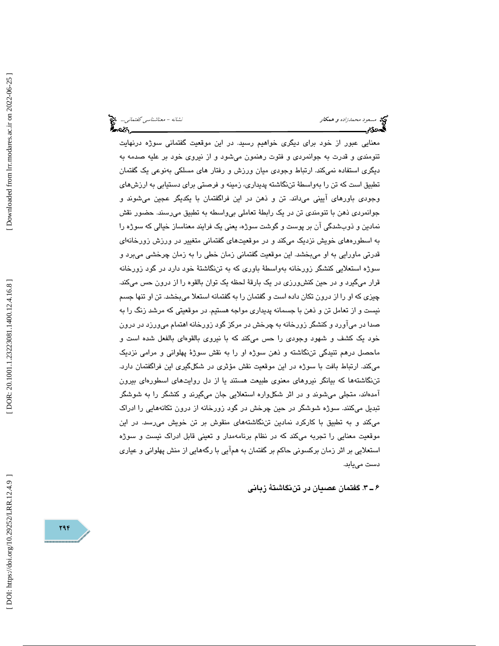مسعود محم*دزاده و همكار نشانه - معناشناسي گفتماني...*. مخ<mark>ت</mark><br>مسعود محم*دزاده و همكار*<br>مسجد گفت براي گفت براي گفت براي گفت براي گفت براي گفت براي گفت براي گفت براي گفت براي گفت براي گفت براي گفت براي

معنايي عبور از خود براي ديگري خواهيم رسيد. در اين موقعيت گفتماني سوژه درنهايت تنومندي و قدرت به جوانمردي و فتوت رهنمون ميشود و از نيروي خود بر عليه صدمه به ديگري استفاده نميكند. ارتباط وجودي ميان ورزش و رفتار هاي مسلكي بهنوعي يك گفتمان تطبيق است كه تن را بهواسطة تننگاشته پديداري، زمينه و فرصتي براي دستيابي به ارز شهاي وجودي باورهاي آييني ميداند. تن و ذهن در اين فراگفتمان با يكديگر عجين ميشوند و جوانمردي ذهن با تنومندي تن در يك رابطة تعاملي بيواسطه به تطبيق ميرسند. حضور نقش نمادين و ذوبشدگي آن بر پوست و گوشت سوژه، يعني يك فرايند معناساز خيالي كه سوژه را به اسطورههاي خويش نزديک ميکند و در موقعيتهاي گفتماني متغيير در ورزش زورخانهاي قدرتي ماورايي به او ميبخشد. اين موقعيت گفتماني زمان خطي را به زمان چرخشي ميبرد و سوژه استعلايي كنشگر زورخانه بهواسطة باوري كه به تننگاشتة خود دارد در گود زورخانه قرار ميگيرد و در حين كنشورزي در يك بارقة لحظه يك توان بالقوه را از درون حس ميكند. چيزي كه او را از درون تكان داده است و گفتمان را به گفتمانه استعلا ميبخشد. تن او تنها جسم نيست و از تعامل تن و ذهن با جسمانه پديداري مواجه هستيم. در موقعيتي كه مرشد زنگ را به صدا در ميآورد و كنشگر زورخانه به چرخش در مركز گود زورخانه اهتمام ميورزد در درون خود يك كشف و شهود وجودي را حس ميكند كه با نيروي بالقوهاي بالفعل شده است و ماحصل درهم تنيدگي تننگاشته و ذهن سوژه او را به نقش سوژة پهلواني و مرامي نزديك ميكند. ارتباط بافت با سوژه در اين موقعيت نقش مؤثري در شكلگيري اين فراگفتمان دارد. تننگاشتهها كه بيانگر نيروهاي معنوي طبيعت هستند يا از دل روايتهاي اسطورهاي بيرون آمدهاند، متجلي ميشوند و در اثر شكلواره استعلايي جان ميگيرند و كنشگر را به شوشگر تبديل ميكنند. سوژه شوشگر در حين چرخش در گود زورخانه از درون تكانههايي را ادراك ميكند و به تطبيق با كاركرد نمادين تننگاشتههاي منقوش بر تن خويش ميرسد. در اين موقعيت معنايي را تجربه ميكند كه در نظام برنامهمدار و تعيني قابل ادراك نيست و سوژه استعلايي بر اثر زمان بركسوني حاكم بر گفتمان به همآيي با رگههايي از منش پهلواني و عياري دست مييابد.

3ـ 6 . گفتمان عصيان در تننگاشتة زباني

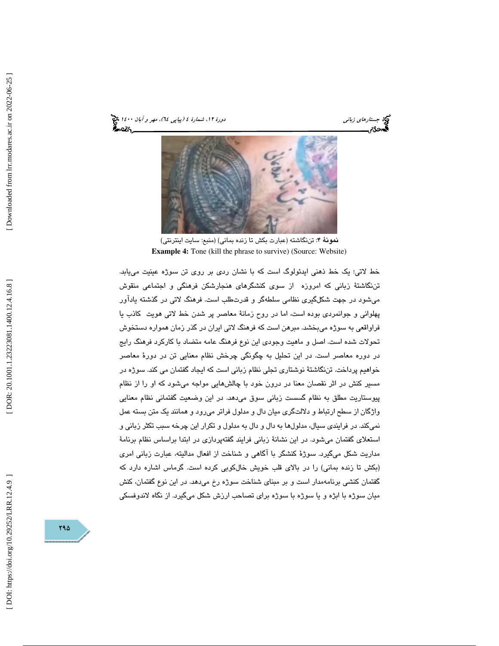(پياپي 64)، مهر و آبان 1400 جستارهاي زباني دورة ،12 شمارة 4





نمونة 4: تننگاشته (عبارت بكش تا زنده بماني) (منبع: سايت اينترنتي) **Example 4:** Tone (kill the phrase to survive) (Source: Website)

خط لاتي؛ يك خط ذهني ايدئولوگ است كه با نشان ردي بر روي تن سوژه عينيت مييابد. تننگاشتة زباني كه امروزه از سوي كنشگرهاي هنجارشكن فرهنگي و اجتماعي منقوش ميشود در جهت شكلگيري نظامي سلطهگر و قدرتطلب است. فرهنگ لاتي در گذشته يادآور پهلواني و جوانمردي بوده است، اما در روح زمانة معاصر پر شدن خط لاتي هويت كاذب يا فراواقعي به سوژه ميبخشد. مبرهن است كه فرهنگ لاتي ايران در گذر زمان همواره دستخوش تحولات شده است. اصل و ماهيت وجودي اين نوع فرهنگ عامه متضاد با كاركرد فرهنگ رايج در دوره معاصر است. در اين تحليل به چگونگي چرخش نظام معنايي تن در دورة معاصر خواهيم پرداخت. تننگاشتة نوشتاري تجلي نظام زباني است كه ايجاد گفتمان مي كند. سوژه در مسير كنش در اثر نقصان معنا در درون خود با چالشهايي مواجه ميشود كه او را از نظام پيوستاريت مطلق به نظام گسست زباني سوق ميدهد. در اين وضعيت گفتماني نظام معنايي واژگان از سطح ارتباط و دلالتگري ميان دال و مدلول فراتر ميرود و همانند يك متن بسته عمل نميكند. در فرايندي سيال، مدلولها به دال و دال به مدلول و تكرار اين چرخه سبب تكثر زباني و استعلای گفتمان میشود. در اين نشانة زبانی فرايند گفتهپردازی در ابتدا براساس نظام برنامهٔ مداريت شكل ميگيرد. سوژة كنشگر با آگاهي و شناخت از افعال مداليته، عبارت زباني امري (بكش تا زنده بماني) را در بالاي قلب خويش خالكوبي كرده است. گرماس اشاره دارد كه گفتمان كنشي برنامهمدار است و بر مبناي شناخت سوژه رخ ميدهد. در اين نوع گفتمان، كنش ميان سوژه با ابژه و يا سوژه با سوژه براي تصاحب ارزش شكل ميگيرد. از نگاه لاندوفسكي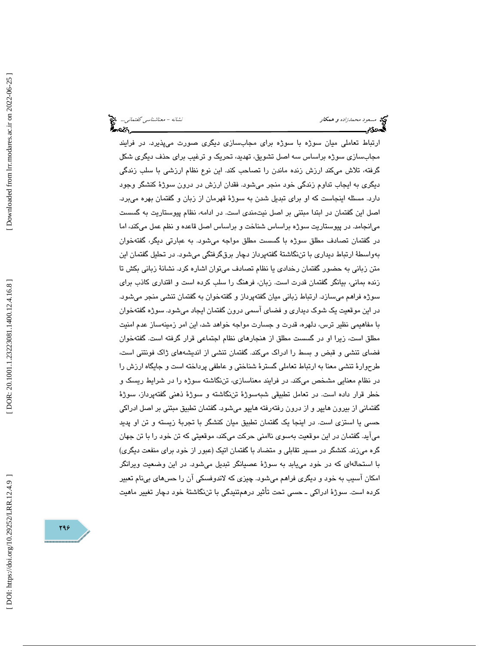مسعود محم*دزاده و همكار نشانه - معناشناسي گفتماني...*. مخ<mark>ت</mark><br>مسعود محم*دزاده و همكار*<br>مسجد گفت براي گفت براي گفت براي گفت براي گفت براي گفت براي گفت براي گفت براي گفت براي گفت براي گفت براي گفت براي

ارتباط تعاملي ميان سوژه با سوژه براي مجابسازي ديگري صورت ميپذيرد. در فرايند مجابسازي سوژه براساس سه اصل تشويق، تهديد، تحريك و ترغيب براي حذف ديگري شكل گرفته، تلاش ميكند ارزش زنده ماندن را تصاحب كند. اين نوع نظام ارزشي با سلب زندگي ديگري به ايجاب تداوم زندگي خود منجر ميشود. فقدان ارزش در درون سوژة كنشگر وجود دارد. مسئله اينجاست كه او براي تبديل شدن به سوژة قهرمان از زبان و گفتمان بهره ميبرد. اصل اين گفتمان در ابتدا مبتني بر اصل نيتمندي است. در ادامه، نظام پيوستاريت به گسست ميانجامد. در پيوستاريت سوژه براساس شناخت و براساس اصل قاعده و نظم عمل ميكند، اما در گفتمان تصادف مطلق سوژه با گسست مطلق مواجه ميشود. به عبارتي ديگر، گفتهخوان بهواسطة ارتباط ديداري با تننگاشتة گفتهپرداز دچار برقگرفتگي ميشود. در تحليل گفتمان اين متن زباني به حضور گفتمان رخدادي يا نظام تصادف ميتوان اشاره كرد. نشانة زباني بكش تا زنده بماني، بيانگر گفتمان قدرت است. زبان، فرهنگ را سلب كرده است و اقتداري كاذب براي سوژه فراهم ميسازد. ارتباط زباني ميان گفتهپرداز و گفتهخوان به گفتمان تنشي منجر ميشود. در اين موقعيت يك شوك ديداري و فضاي آسمي درون گفتمان ايجاد ميشود. سوژه گفتهخوان با مفاهيمي نظير ترس، دلهره، قدرت و جسارت مواجه خواهد شد، اين امر زمينهساز عدم امنيت مطلق است، زيرا او در گسست مطلق از هنجارهای نظام اجتماعی قرار گرفته است. گفتهخوان فضاي تنشي و قبض و بسط را ادراك ميكند. گفتمان تنشي از انديشههاي ژاك فونتني است، طرحوارة تنشي معنا به ارتباط تعاملي گسترة شناختي و عاطفي پرداخته است و جايگاه ارزش را در نظام معنايي مشخص ميكند. در فرايند معناسازي، تننگاشته سوژه را در شرايط ريسك و خطر قرار داده است. در تعامل تطبيقي شبهسوژة تننگاشته و سوژة ذهني گفتهپرداز، سوژة گفتماني از بيرون هايپر و از درون رفتهرفته هايپو ميشود. گفتمان تطبيق مبتني بر اصل ادراكي حسي يا استزي است. در اينجا يك گفتمان تطبيق ميان كنشگر با تجربة زيسته و تن او پديد ميآيد. گفتمان در اين موقعيت بهسوي ناامني حركت ميكند، موقعيتي كه تن خود را با تن جهان گره ميزند. كنشگر در مسير تقابلي و متضاد با گفتمان اتيك (عبور از خود براي منفعت ديگري) با استحالهاي كه در خود مييابد به سوژة عصيانگر تبديل ميشود. در اين وضعيت ويرانگر امكان آسيب به خود و ديگري فراهم ميشود. چيزي كه لاندوفسكي آن را حسهاي بينام تعبير كرده است. سوژة ادراكي ـ حسي تحت تأثير در همتنيدگي با تننگاشتة خود دچار تغيير ماهيت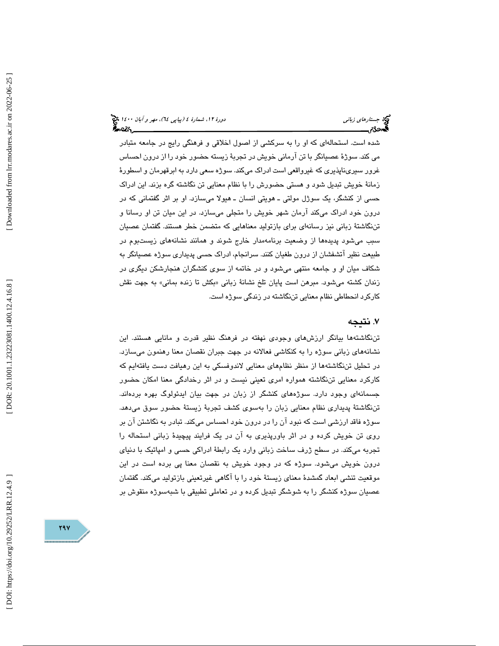شده است. استحالهاي كه او را به سركشي از اصول اخلاقي و فرهنگي رايج در جامعه متبادر مي كند. سوژة عصيانگر با تن آرماني خويش در تجربة زيسته حضور خود را از درون احساس غرور سيريناپذيري كه غيرواقعي است ادراك ميكند. سوژه سعي دارد به ابرقهرمان و اسطورة زمانة خويش تبديل شود و هستي حضورش را با نظام معنايي تن نگاشته گره بزند. اين ادراك حسي از كنشگر، يك سوژل مولتي ـ هويتي انسان ـ هيولا ميسازد. او بر اثر گفتماني كه در درون خود ادراك ميكند آرمان شهر خويش را متجلي ميسازد. در اين ميان تن او رسانا و تننگاشتة زباني نيز رسانهاي براي بازتوليد معناهايي كه متضمن خطر هستند. گفتمان عصيان سبب ميشود پديدهها از وضعيت برنامهمدار خارج شوند و همانند نشانههاي زيستبوم در طبيعت نظير آتشفشان از درون طغيان كنند. سرانجام، ادراك حسي پديداري سوژه عصيانگر به شكاف ميان او و جامعه منتهي ميشود و در خاتمه از سوي كنشگران هنجارشكن ديگري در زندان كشته مىشود. مبرهن است پايان تلخ نشانهٔ زبانى «بكش تا زنده بمانى» به جهت نقش كاركرد انحطاطي نظام معنايي تننگاشته در زندگي سوژه است.

# ۷. نتيجه

 تننگاشتهها بيانگر ارزشهاي وجودي نهفته در فرهنگ نظير قدرت و مانايي هستند. اين نشانههاي زباني سوژه را به كنكاشي فعالانه در جهت جبران نقصان معنا رهنمون ميسازد. در تحليل تننگاشتهها از منظر نظامهاي معنايي لاندوفسكي به اين رهيافت دست يافتهايم كه كاركرد معنايي تننگاشته همواره امري تعيني نيست و در اثر رخدادگي معنا امكان حضور جسمانهاي وجود دارد. سوژههاي كنشگر از زبان در جهت بيان ايدئولوگ بهره بردهاند. تننگاشتة پديداري نظام معنايي زبان را بهسوي كشف تجربة زيستة حضور سوق ميدهد. سوژه فاقد ارزشي است كه نبود آن را در درون خود احساس ميكند. تبادر به نگاشتن آن بر روي تن خويش كرده و در اثر باورپذيري به آن در يك فرايند پيچيدة زباني استحاله را تجربه ميكند. در سطح ژرف ساخت زباني وارد يك رابطة ادراكي حسي و امپاتيك با دنياي درون خويش ميشود. سوژه كه در وجود خويش به نقصان معنا پي برده است در اين موقعيت تنشي ابعاد گمشدة معناي زيستة خود را با آگاهي غيرتعيني بازتوليد ميكند. گفتمان عصيان سوژه كنشگر را به شوشگر تبديل كرده و در تعاملي تطبيقي با شبهسوژه منقوش بر

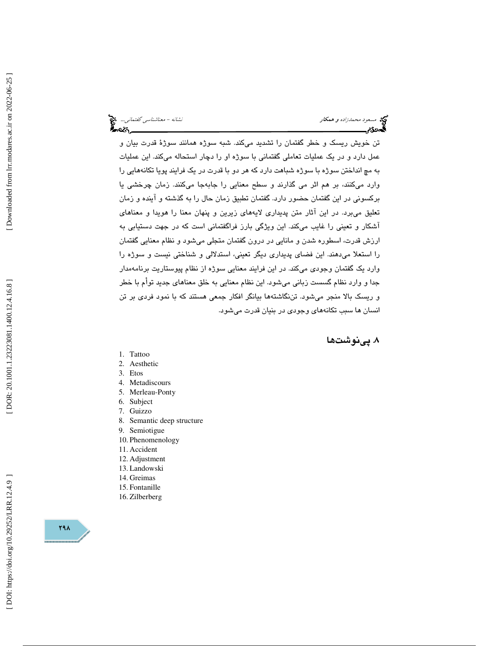مسعود محمدزاده و همكار نشانه - معناشناسي گفتماني...

تن خويش ريسك و خطر گفتمان را تشديد ميكند. شبه سوژه همانند سوژة قدرت بيان و عمل دارد و در يك عمليات تعاملي گفتماني با سوژه او را دچار استحاله ميكند. اين عمليات به مچ انداختن سوژه با سوژه شباهت دارد كه هر دو با قدرت در يك فرايند پويا تكانههايي را وارد ميكنند، بر هم اثر مي گذارند و سطح معنايي را جابهجا ميكنند. زمان چرخشي يا بركسوني در اين گفتمان حضور دارد. گفتمان تطبيق زمان حال را به گذشته و آينده و زمان تعليق ميبرد. در اين آثار متن پديداري لايههاي زيرين و پنهان معنا را هويدا و معناهاي آشكار و تعيني را غايب ميكند. اين ويژگي بارز فراگفتماني است كه در جهت دستيابي به رزش قدرت، اسطوره شدن و مانايي در درون گفتمان متجلي ميشود و نظام معنايي گفتمان ا را استعلا ميدهند. اين فضاي پديداري ديگر تعيني، استدلالي و شناختي نيست و سوژه را وارد يك گفتمان وجودي ميكند. در اين فرايند معنايي سوژه از نظام پيوستاريت برنامهمدار جدا و وارد نظام گسست زباني ميشود. اين نظام معنايي به خلق معناهاي جديد توأم با خطر و ريسك بالا منجر ميشود. تننگاشتهها بيانگر افكار جمعي هستند كه با نمود فردي بر تن انسان ها سبب تكانههاي وجودي در بنيان قدرت ميشود.

. پينوشت ها 8

- 1. Tattoo
- 2. Aesthetic
- 3. Etos
- 4. Metadiscours
- 5. Merleau-Ponty
- 6. Subject
- 7. Guizzo
- 8. Semantic deep structure
- 9. Semiotigue
- 10. Phenomenology
- 11. Accident
- 12. Adjustment
- 13. Landowski
- 14. Greimas
- 15. Fontanille
- 16. Zilberberg

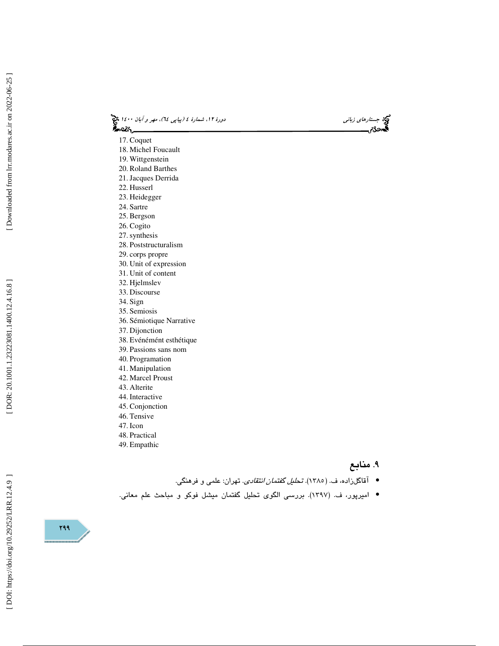(پياپي 64)، مهر و آبان 1400 جستارهاي زباني دورة ،12 شمارة 4

- 17. Coquet
- 18. Michel Foucault
- 19. Wittgenstein
- 20. Roland Barthes 21.Jacques Derrida
- 22. Husserl
- 23. Heidegger
- 24. Sartre
- 25. Bergson
- 26. Cogito
- 27.synthesis
- 28. Poststructuralism
- 29. corps propre
- 30. Unit of expression
- 31. Unit of content
- 32. Hjelmslev 33. Discourse
- 34. Sign
- 35. Semiosis
- 36. Sémiotique Narrative
- 37. Dijonction
- 38. Evénémént esthétique
- 39. Passions sans nom
- 40. Programation
- 41. Manipulation
- 42. Marcel Proust
- 43. Alterite
- 44. Interactive
- 45. Conjonction
- 46. Tensive
- 47. Icon
- 48. Practical 49. Empathic

- ۹. منابع
- آقاگلزاده، ف. (١٣٨٥). *تحليل گفتمان انتقادی*. تهران: علمي و فرهنگي.
- اميرپور، ف. (1397). بررسي الگوي تحليل گفتمان ميشل فوكو و مباحث علم معاني. •

299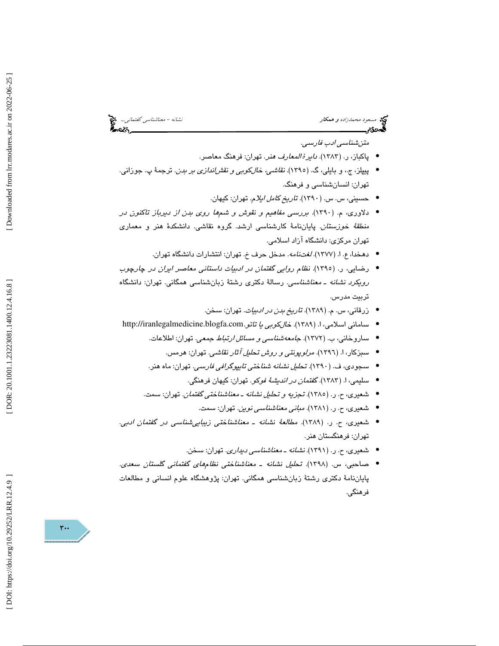مسعود محمدزاده و همكار نشانه - معناشناسي گفتماني... المجمع العداد و همكار نشانه - معناشناسي گفتماني... المجمع<br>**السردردیم العداد العداد العداد العداد العداد العداد العداد العداد العداد العداد العداد العداد العداد العداد ال** 

متنشناسي ادب فارسي.

- پاکباز، ر. (۱۳۸۳). *دایرۀ المعارف هن*ر. تهران: فرهنگ معاصر.
- پيپلز ، ج،. و بايلي، گ. ( 1395). نقاشي، خالكوبي و نقشاندازي بر بدن. ترجمة پ. جوزاني. تهران: انسانشناسي و فرهنگ.
	- حسيني، س. س. (1390). تاريخ كامل ايلام. تهران: كيهان. •
- دلاوري، م. (1390). بررسي مفاهيم و نقوش و شمها روي بدن از ديرباز تاكنون در من*طقهٔ خوزستان.* پاياننامهٔ كارشناسى ارشد. گروه نقاشى. دانشكدهٔ هنر و معمارى تهران مركزي: دانشگاه آزاد اسلامي.
	- دهخدا، ع. ا. (1377). لغتنامه. مدخل حرف خ. تهران: انتشارات دانشگاه تهران. •
- رضايي ، ر. (1395). نظام روايي گفتمان در ادبيات داستاني معاصر ايران در چارچوب رويكرد نشانه ـ معناشناسي. رسالة دكتري رشتة زبانشناسي همگاني. تهران: دانشگاه تربيت مدرس.
	- زرقاني، س. م. (1389). تاريخ بدن در ادبيات. تهران: سخن. •
- سامانی اسلامی، ا. (۱۳۸۹). *خالكوبی يا تاتو.*http://iranlegalmedicine.blogfa.com
	- ساروخاني، ب. (١٣٧٢). *جامعه شناسي و مسائل ارتباط جمعي*. تهران: اطلاعات.
		- سبزكار ، ا. (1396). مرلوپونتي و روش تحليل آثار نقاشي. تهران: هرمس. •
	- سجودی، ف. (١٣٩٠). تح*لیل نشانه شناختی تایپوگرافی فارسی*. تهران: ماه هنر.
		- سليمي، ا. (1383). گفتمان در انديشة فوكو. تهران: كيهان فرهنگي. •
	- شعیری، ح. ر. (١٣٨٥). تجز*يه و تحليل نشانه ـ معناشناختي گفتمان.* تهران: سمت.
		- شعيري ، ح. ر. (1381). مباني معناشناسي نوين. تهران: سمت. •
- شعیری، ح. ر. (۱۳۸۹). *مطالعهٔ نشانه ـ معناشناختی زیباییشناسی در* گفت*مان ادبی*. تهران: فرهنگستان هنر.
	- شعيري ، ح. ر. ( 1391 .) نشانه ـ معناشناسي د يداري. تهران: سخن. •
- صاحبي ، س. (1398). تحليل نشانه ـ معناشناختي نظامهاي گفتماني گلستان سعدي. پاياننامة دكتري رشتة زبانشناسي همگاني. تهران: پژوهشگاه علوم انساني و مطالعات فرهنگي.

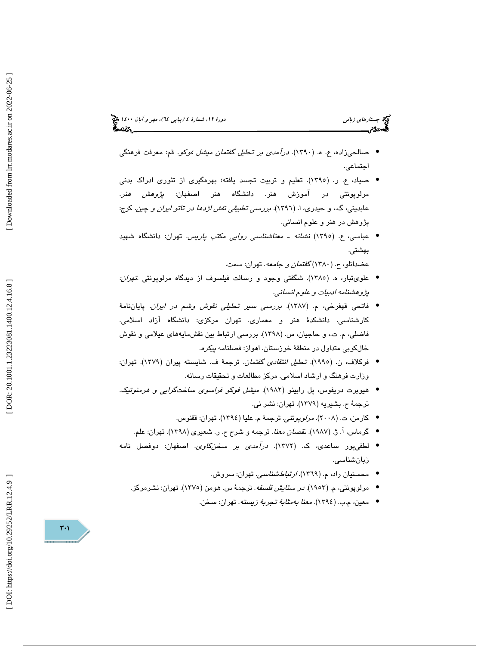# (پياپي 64)، مهر و آبان 1400 جستارهاي زباني دورة ،12 شمارة 4

- صالحيزاده، ع. ه. (1390). درآمدي بر تحليل گفتمان ميشل فوكو. قم: معرفت فرهنگي اجتماعي.
- صياد، ع. ر. (1395). تعليم و تربيت تجسد يافته؛ بهرهگيري از تئوري ادراك بدني مرلوپونتی در آموزش هنر. دانشگاه هنر اصفهان: *پژوهش هنر*. عابديني، گ.، و حيدري، ا. (١٣٩٦). *بررسي تطبيقي نقش اژدها در تاتو ايران و* چي*ن.* كرج: پژوهش در هنر و علوم انساني.
- عباسي، ع. (1395) نشانه ـ معناشناسي روايي مكتب پاريس. تهران: دانشگاه شهيد بهشتي.

عضدانلو، ح. (1380) گفتمان و جامعه. تهران: سمت.

- علويتبار ، ه. (1385). شگفتي وجود و رسالت فيلسوف از ديدگاه مرلوپونتي .تهران: پژوهشنامه ادبيات و علوم انساني.
- فاتحي قهفرخي، م. (1387). بررسي سير تحليلي نقوش وشم در ايران. پاياننامة كارشناسي. دانشكدة هنر و معماري. تهران مركزي: دانشگاه آزاد اسلامي. فاضلي، م. ت،. و حاجيان، س. (1398). بررسي ارتباط بين نقش مايههاي عيلامي و نقوش خالكوبي متداول در منطقة خوزستان. اهواز: فصلنامه پيكره .
- فركلاف، ن. (1995). تحليل انتقادي گفتمان. ترجمة ف. شايسته پيران (1379). تهران: وزارت فرهنگ و ارشاد اسلامي. مركز مطالعات و تحقيقات رسانه.
- هيوبرت دريفوس، پل رابينو (1982). ميشل فوكو فراسوي ساختگرايي و هرمنوتيك. ترجمة ح. بشيريه (1379). تهران: نشر ني.
	- كارمن، ت. (2008). مرلوپونتي. ترجمة م. عليا (1394). تهران: ققنوس. •
	- گرماس، آ. ژ. (1987). نقصان معنا. ترجمه و شرح ح. ر. شعيري (1398). تهران: علم. •
- لطفيپور ساعدي، ك. (1372). درآمدي بر سخنكاوي. اصفهان: دوفصل نامه زبانشناسي.
	- محسنیان راد، م. (۱۳٦۹). *ارتباطشناسی*. تهران: سروش.
	- مرلوپونتی، م. (۱۹۰۳)*. در ستایش فلسفه*. ترجمهٔ س. هومن (۱۳۷۵). تهران: نشرمركز.
		- معين، م.ب. (١٣٩٤). *معنا بهمثابةُ تجربةً زيسته*. تهران: سخن.

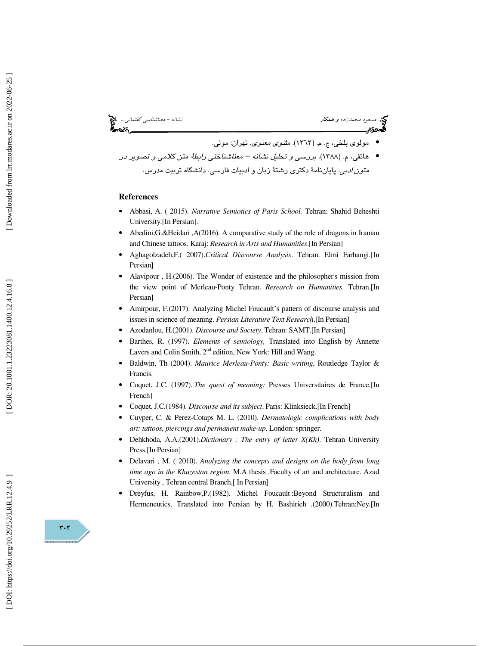

### **References**

- Abbasi, A. ( 2015). *Narrative Semiotics of Paris School.* Tehran: Shahid Beheshti University.[In Persian].
- Abedini,G.&Heidari ,A(2016). A comparative study of the role of dragons in Iranian and Chinese tattoos. Karaj: *Research in Arts and Humanities*.[In Persian]
- Aghagolzadeh,F.( 2007).*Critical Discourse Analysis*. Tehran. Elmi Farhangi.[In Persian]
- Alavipour , H.(2006). The Wonder of existence and the philosopher's mission from the view point of Merleau-Ponty Tehran. *Research on Humanities*. Tehran.[In Persian]
- Amirpour, F.(2017). Analyzing Michel Foucault's pattern of discourse analysis and issues in science of meaning. *Persian Literature Text Research*.[In Persian]
- Azodanlou, H.(2001). *Discourse and Society*. Tehran: SAMT.[In Persian]
- Barthes, R. (1997). *Elements of semiology,* Translated into English by Annette Lavers and Colin Smith, 2<sup>nd</sup> edition, New York: Hill and Wang.
- Baldwin, Th (2004). *Maurice Merleau-Ponty: Basic writing*, Routledge Taylor & Francis.
- Coquet, J.C. (1997). *The quest of meaning:* Presses Universitaires de France.[In French]
- Coquet. J.C.(1984). *Discourse and its subject*. Paris: Klinksieck.[In French]
- Cuyper, C. & Perez-Cotaps M. L. (2010). *Dermatologic complications with body art: tattoos, piercings and permanent make-up*. London: springer.
- Dehkhoda, A.A.(2001).*Dictionary : The entry of letter X(Kh)*. Tehran University Press.[In Persian]
- Delavari , M. ( 2010). *Analyzing the concepts and designs on the body from long time ago in the Khuzestan region*. M.A thesis .Faculty of art and architecture. Azad University , Tehran central Branch.[ In Persian]
- Dreyfus, H. Rainbow,P.(1982). Michel Foucault :Beyond Structuralism and Hermeneutics. Translated into Persian by H. Bashirieh .(2000).Tehran:Ney.[In

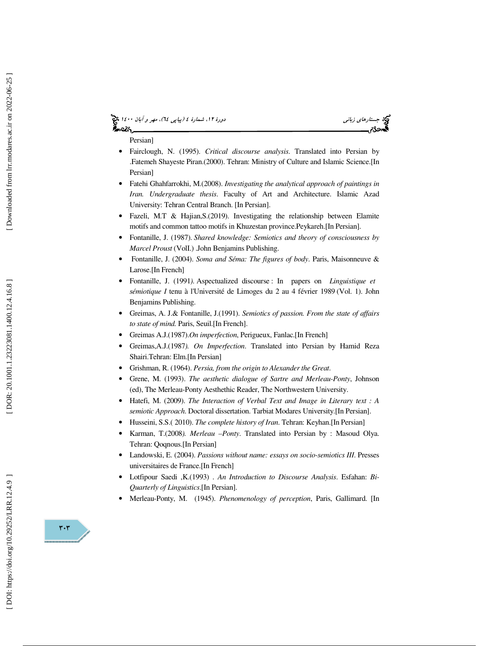# (پياپي 64)، مهر و آبان 1400 جستارهاي زباني دورة ،12 شمارة 4

### Persian]

- Fairclough, N. (1995). *Critical discourse analysis*. Translated into Persian by .Fatemeh Shayeste Piran.(2000). Tehran: Ministry of Culture and Islamic Science.[In Persian]
- Fatehi Ghahfarrokhi, M.(2008). *Investigating the analytical approach of paintings in Iran. Undergraduate thesis*. Faculty of Art and Architecture. Islamic Azad University: Tehran Central Branch. [In Persian].
- Fazeli, M.T & Hajian,S.(2019). Investigating the relationship between Elamite motifs and common tattoo motifs in Khuzestan province.Peykareh.[In Persian].
- Fontanille, J. (1987). *Shared knowledge: Semiotics and theory of consciousness by Marcel Proust* (VolI.) .John Benjamins Publishing.
- Fontanille, J. (2004). *Soma and Séma: The figures of body*. Paris, Maisonneuve & Larose.[In French]
- Fontanille, J. (1991*).* Aspectualized discourse : In papers on *Linguistique et sémiotique I* tenu à l'Université de Limoges du 2 au 4 février 1989 (Vol. 1). John Benjamins Publishing.
- Greimas, A. J.& Fontanille, J.(1991). *Semiotics of passion. From the state of affairs to state of mind.* Paris, Seuil.[In French].
- Greimas A.J.(1987).*On imperfection*, Perigueux, Fanlac.[In French]
- Greimas,A.J.(1987*). On Imperfection*. Translated into Persian by Hamid Reza Shairi.Tehran: Elm.[In Persian]
- Grishman, R. (1964). *Persia, from the origin to Alexander the Great*.
- Grene, M. (1993). *The aesthetic dialogue of Sartre and Merleau-Ponty*, Johnson (ed), The Merleau-Ponty Aesthethic Reader, The Northwestern University.
- Hatefi, M. (2009). *The Interaction of Verbal Text and Image in Literary text : A semiotic Approach*. Doctoral dissertation. Tarbiat Modares University.[In Persian].
- Husseini, S.S.( 2010). *The complete history of Iran*. Tehran: Keyhan.[In Persian]
- Karman, T.(2008*). Merleau –Ponty*. Translated into Persian by : Masoud Olya. Tehran: Qoqnous.[In Persian]
- Landowski, E. (2004). *Passions without name: essays on socio-semiotics III*. Presses universitaires de France.[In French]
- Lotfipour Saedi ,K.(1993) . *An Introduction to Discourse Analysis*. Esfahan: *Bi-Quarterly of Linguistics*.[In Persian].
- Merleau-Ponty, M. (1945). *Phenomenology of perception*, Paris, Gallimard. [In

[DOR: 20.1001.1.23223081.1400.12.4.16.8]



 $\mathbf{r} \cdot \mathbf{r}$